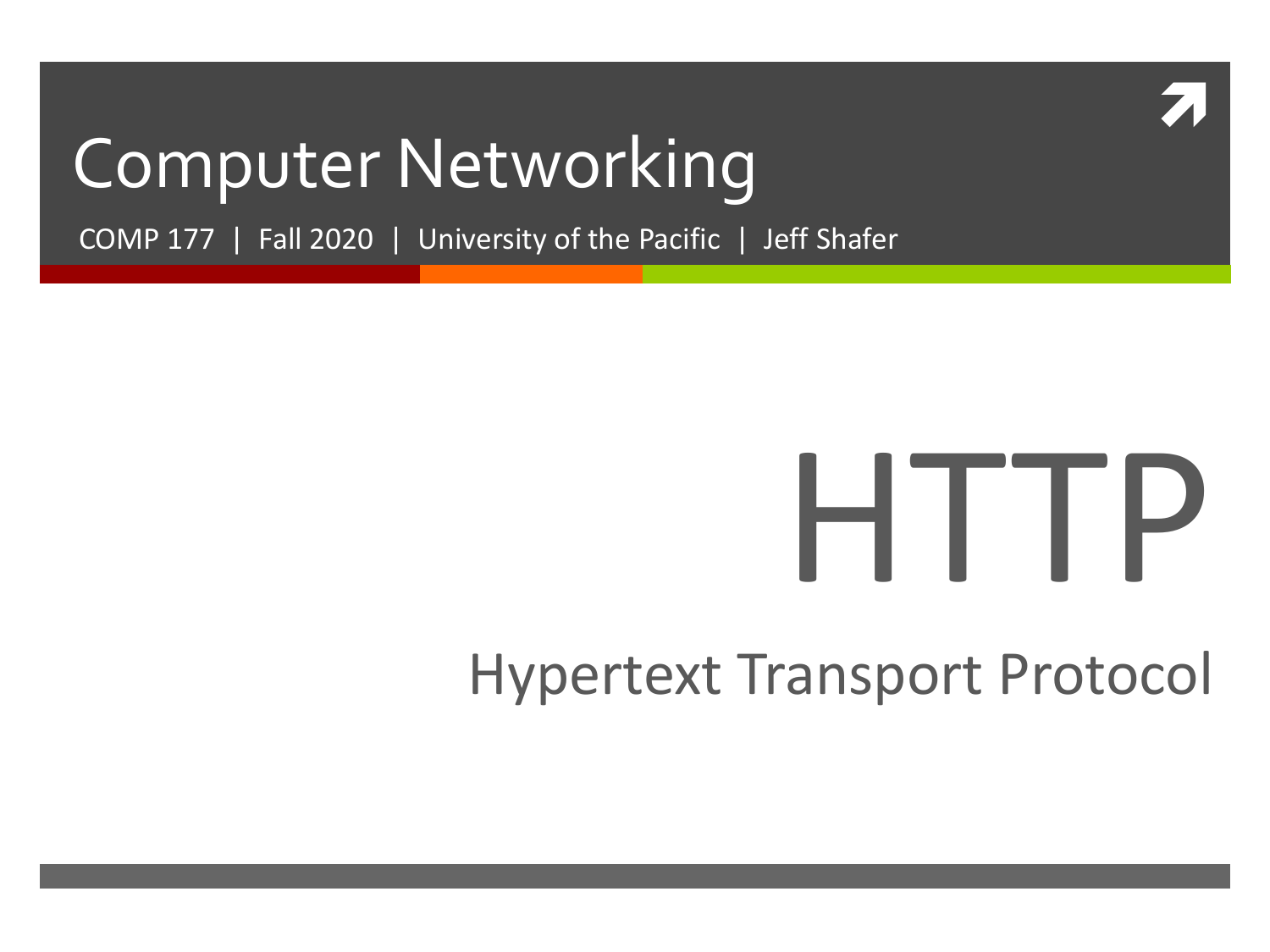

### Computer Networking

COMP 177 | Fall 2020 | University of the Pacific | Jeff Shafer

# HTTP

### Hypertext Transport Protocol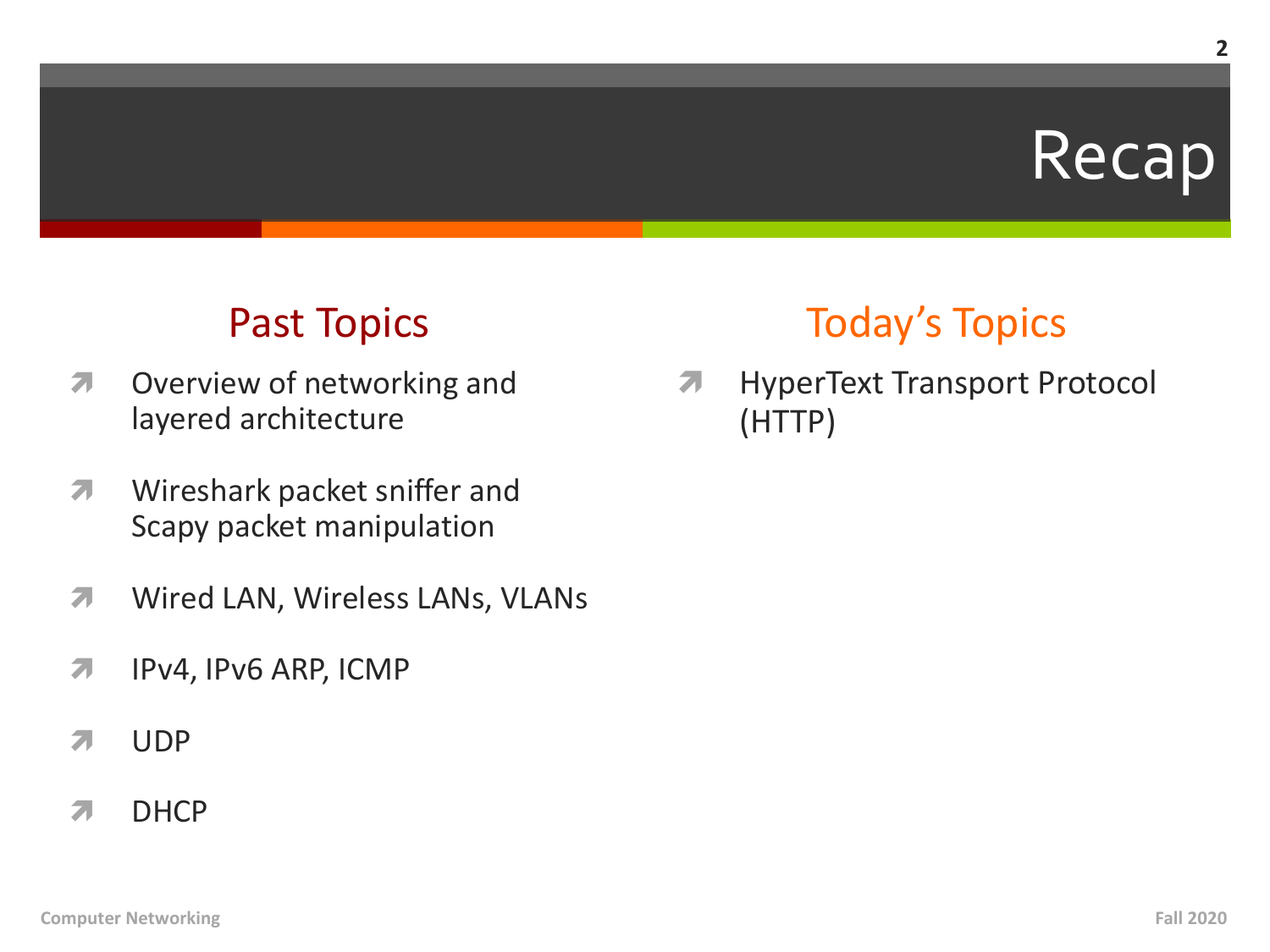### Recap

### Past Topics

- **7** Overview of networking and layered architecture
- **7** Wireshark packet sniffer and Scapy packet manipulation
- *A* Wired LAN, Wireless LANs, VLANs
- **7** IPv4, IPv6 ARP, ICMP
- **7** UDP
- **7** DHCP

### Today's Topics

*A* HyperText Transport Protocol (HTTP)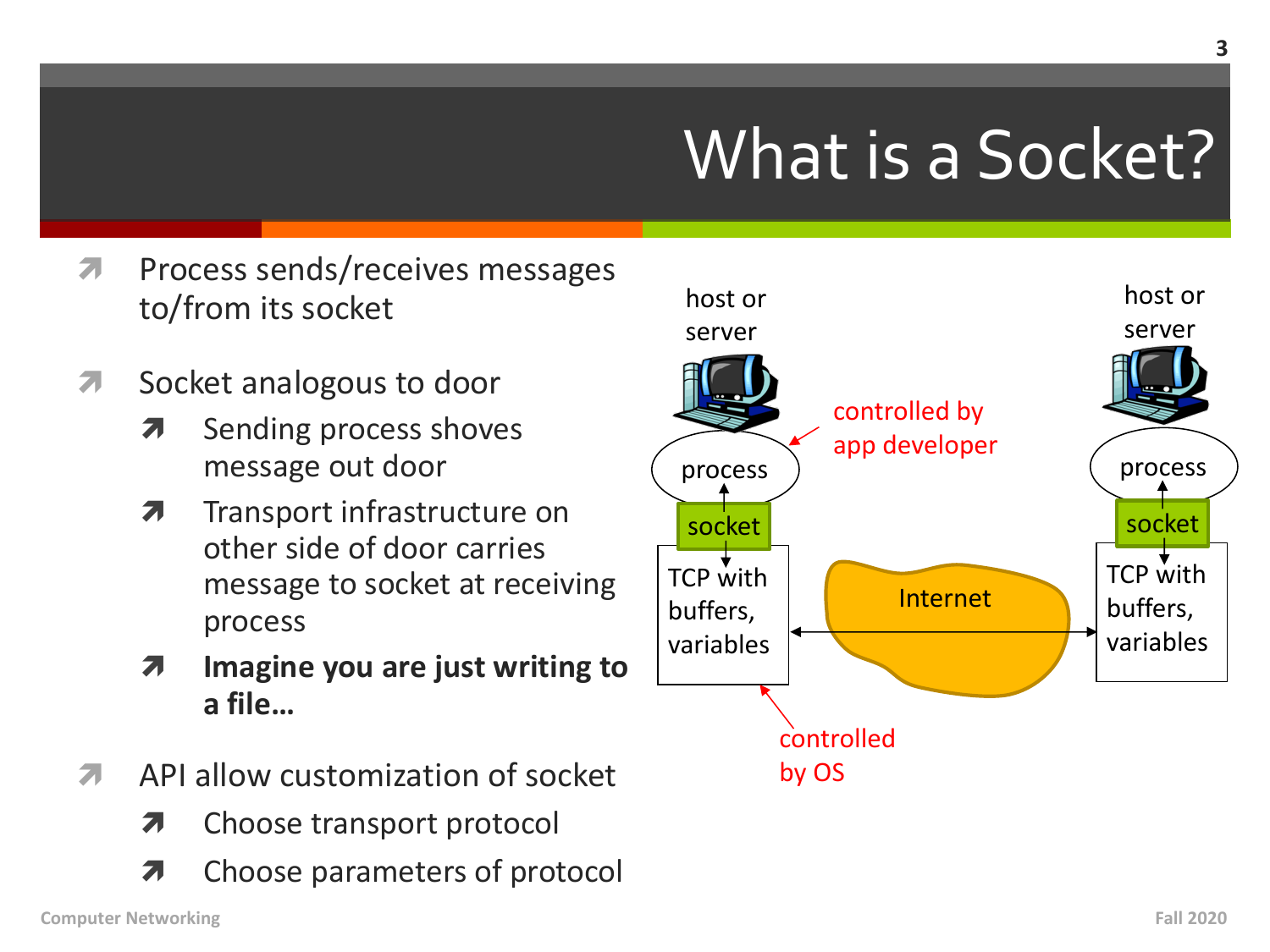# What is a Socket?

- Process sends/receives messages  $\overline{\mathbf{z}}$ to/from its socket
- Socket analogous to door  $\overline{\phantom{a}}$ 
	- Sending process shoves 7 message out door
	- $\overline{\boldsymbol{\pi}}$ Transport infrastructure on other side of door carries message to socket at receiving process
	- Imagine you are just writing to 7 a file...
- API allow customization of socket  $\overline{\phantom{a}}$ 
	- Choose transport protocol 7
	- Choose parameters of protocol Я

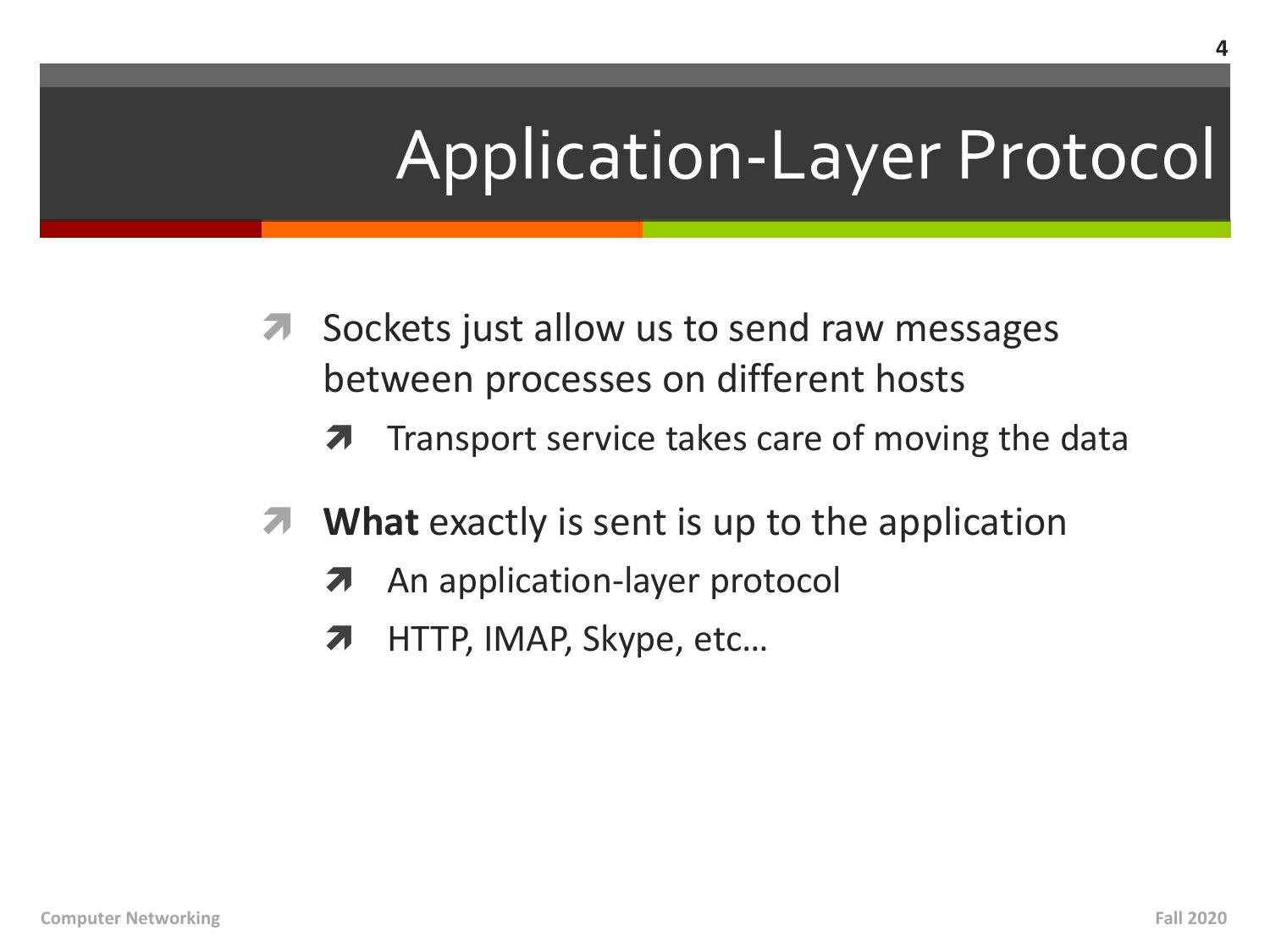# Application-Layer Protocol

- Sockets just allow us to send raw messages  $\overline{\phantom{a}}$ between processes on different hosts
	- Transport service takes care of moving the data 7
- **What** exactly is sent is up to the application  $\overline{\mathcal{A}}$ 
	- An application-layer protocol 7
	- HTTP, IMAP, Skype, etc... 7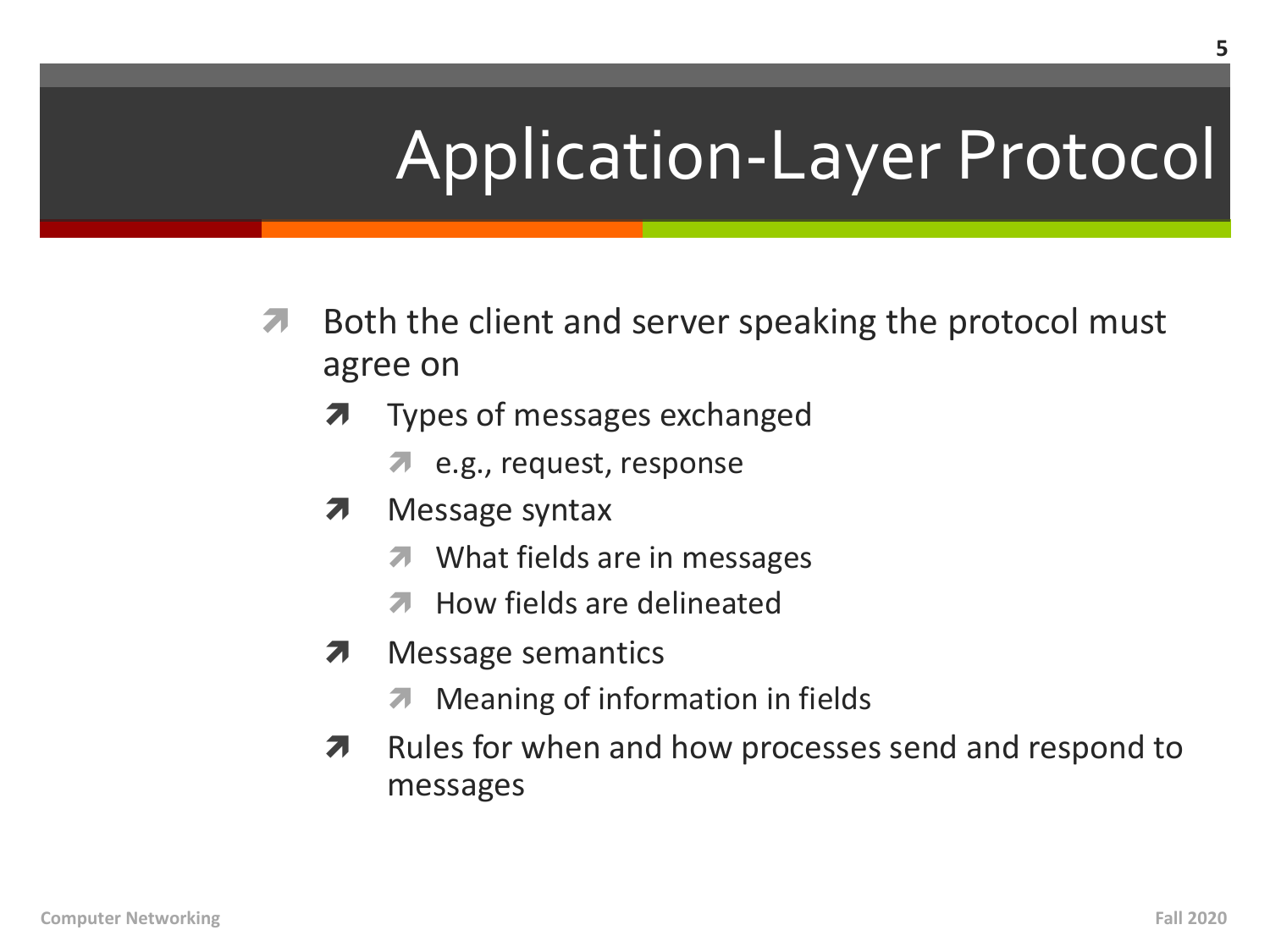# **Application-Layer Protocol**

- Both the client and server speaking the protocol must 7 agree on
	- Types of messages exchanged
		- **2** e.g., request, response
	- 7 Message syntax
		- What fields are in messages 7
		- **7** How fields are delineated
	- Message semantics 7
		- **7** Meaning of information in fields
	- Rules for when and how processes send and respond to 7 messages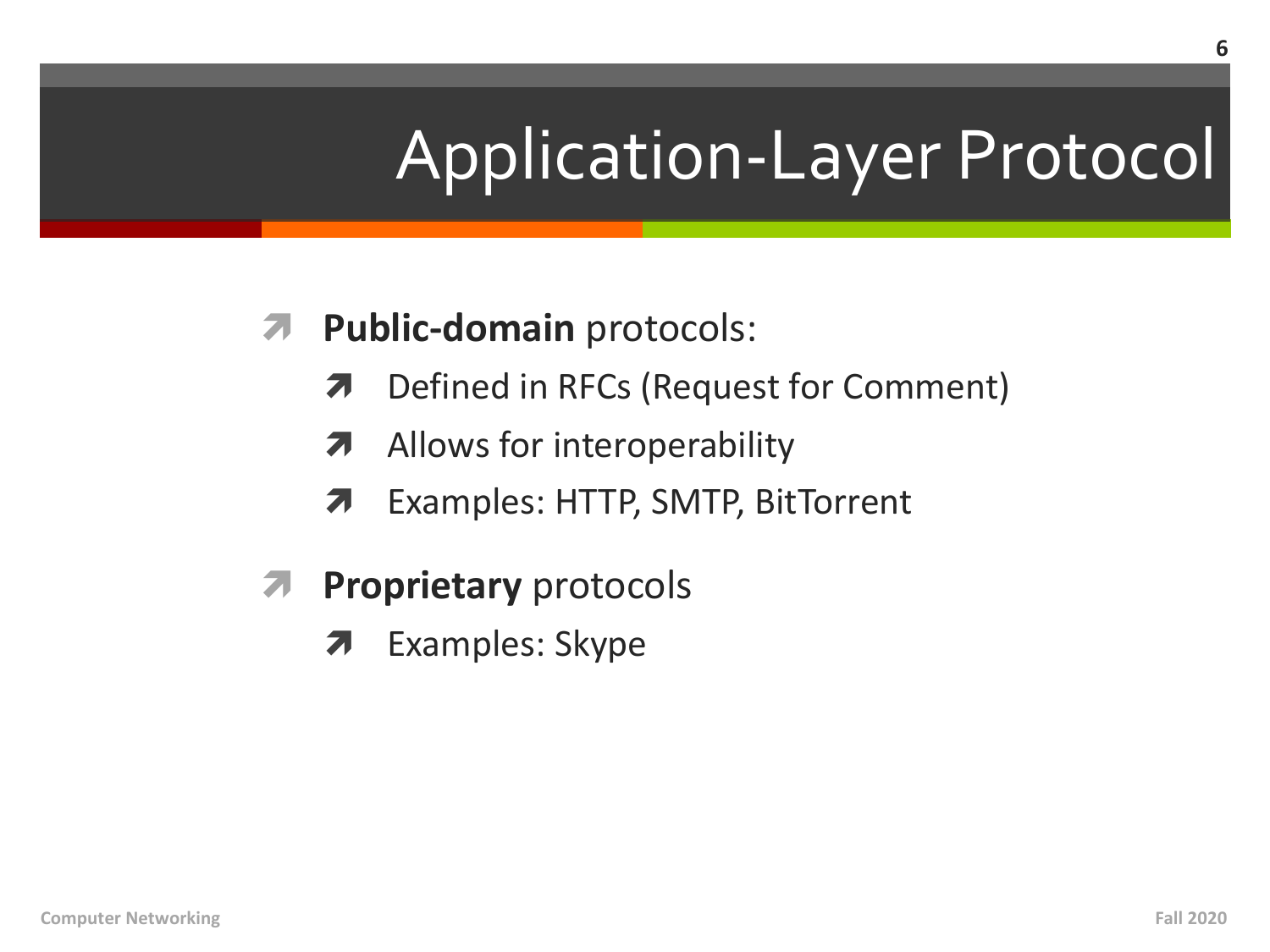# **Application-Layer Protocol**

#### **Public-domain protocols:**  $7<sub>1</sub>$

- Defined in RFCs (Request for Comment) 7
- Allows for interoperability 7
- Examples: HTTP, SMTP, BitTorrent 7
- **Proprietary protocols** 7
	- **Examples: Skype**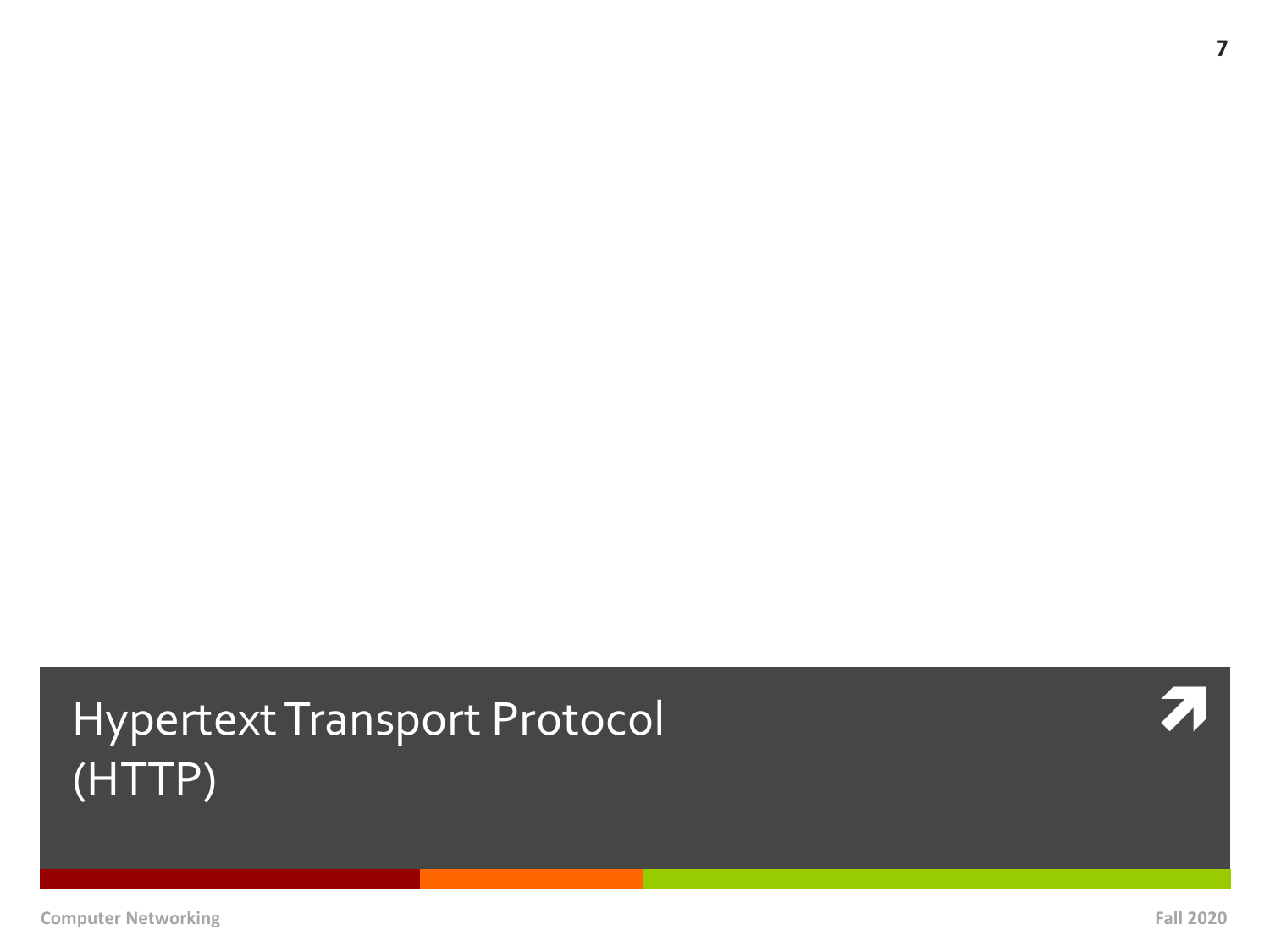### Hypertext Transport Protocol **in the Contract of A** (HTTP)

**7**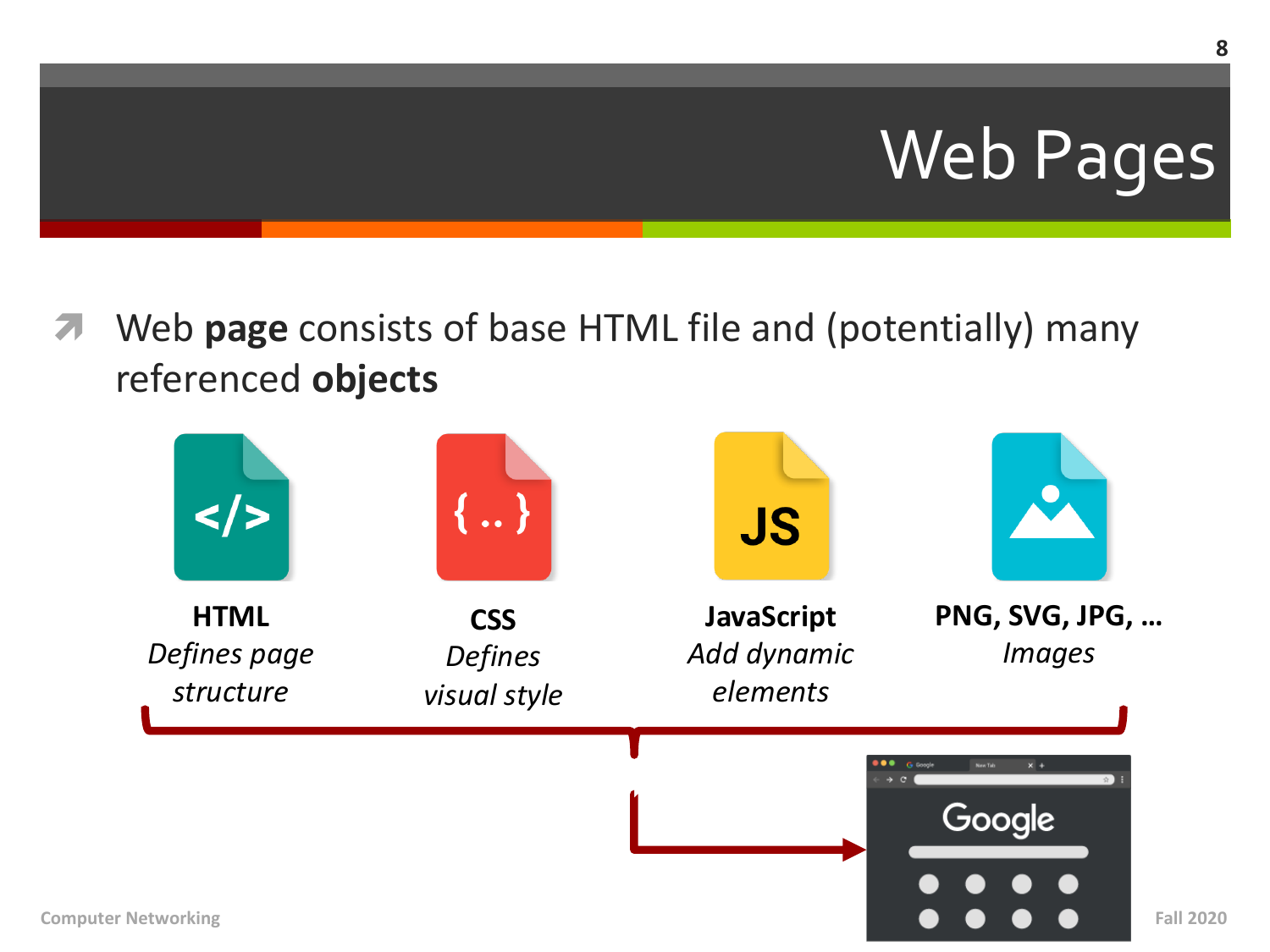# Web Pages

Web **page** consists of base HTML file and (potentially) many referenced **objects**

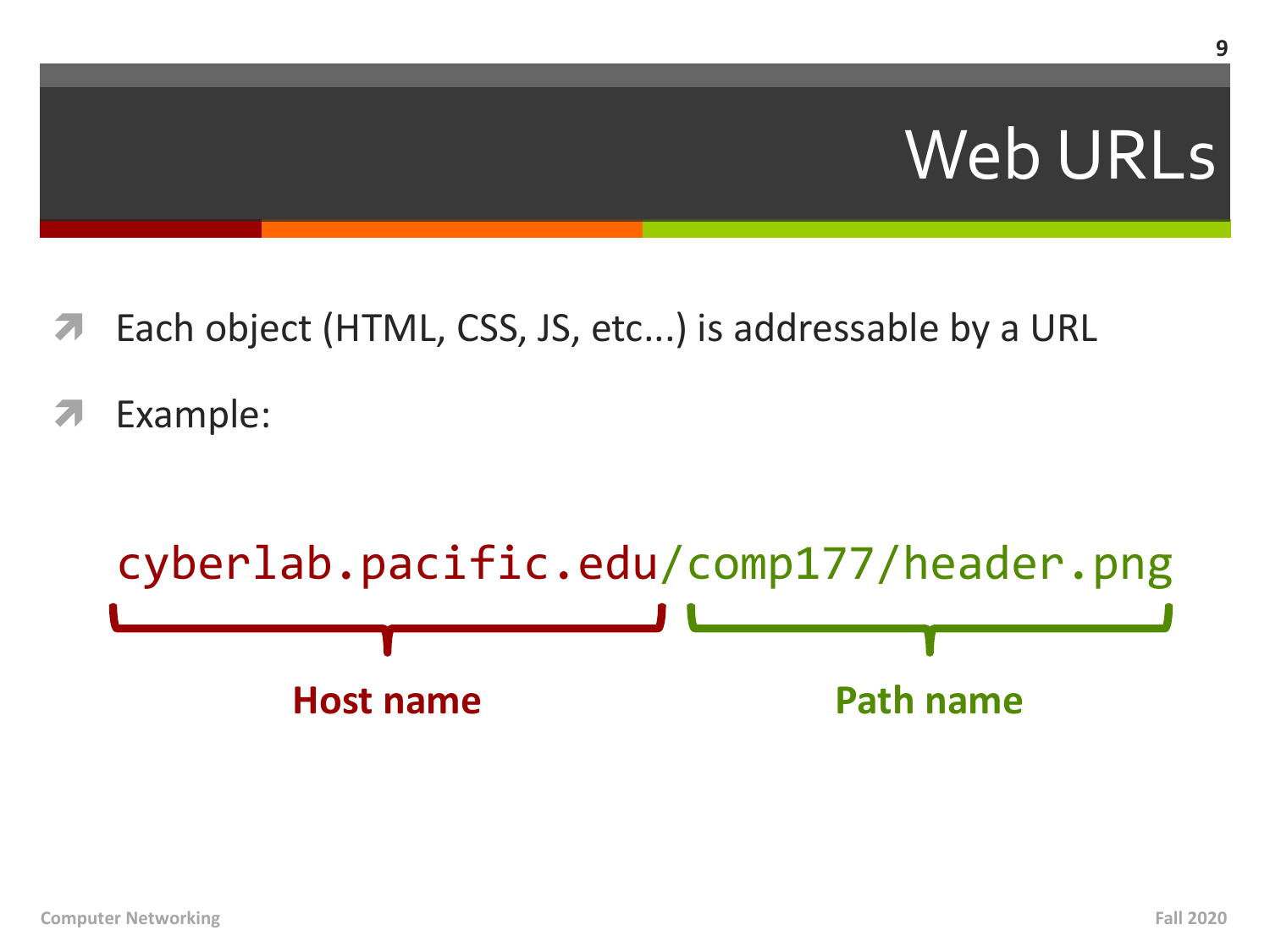### **Web URLs**

- Each object (HTML, CSS, JS, etc...) is addressable by a URL
- Example:

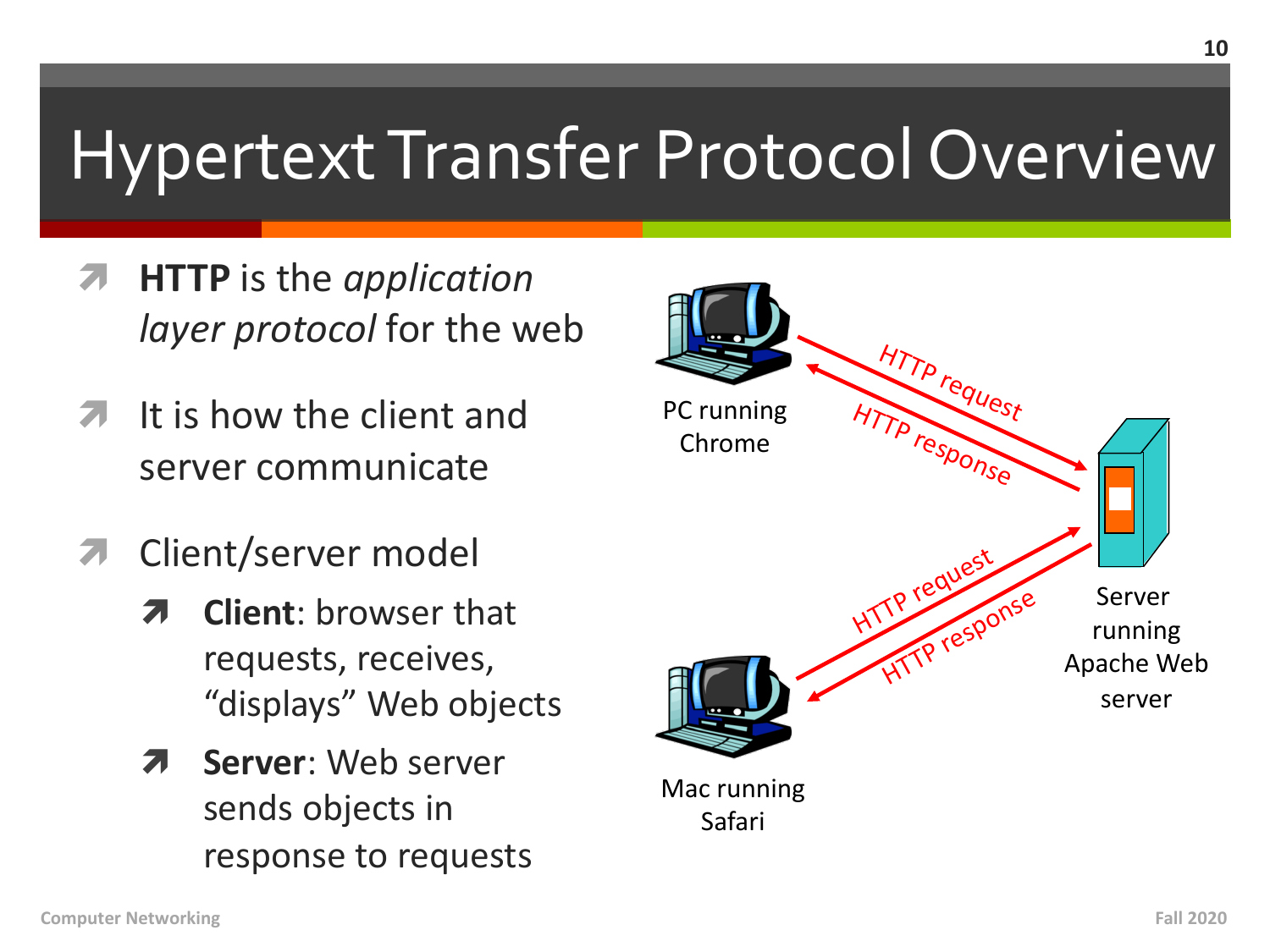# **Hypertext Transfer Protocol Overview**

- **HTTP** is the *application* layer protocol for the web
- It is how the client and  $\mathcal{F}_{\mathbb{C}}$ server communicate
- **7** Client/server model
	- **Client:** browser that requests, receives, "displays" Web objects
	- **Server:** Web server 21 sends objects in response to requests

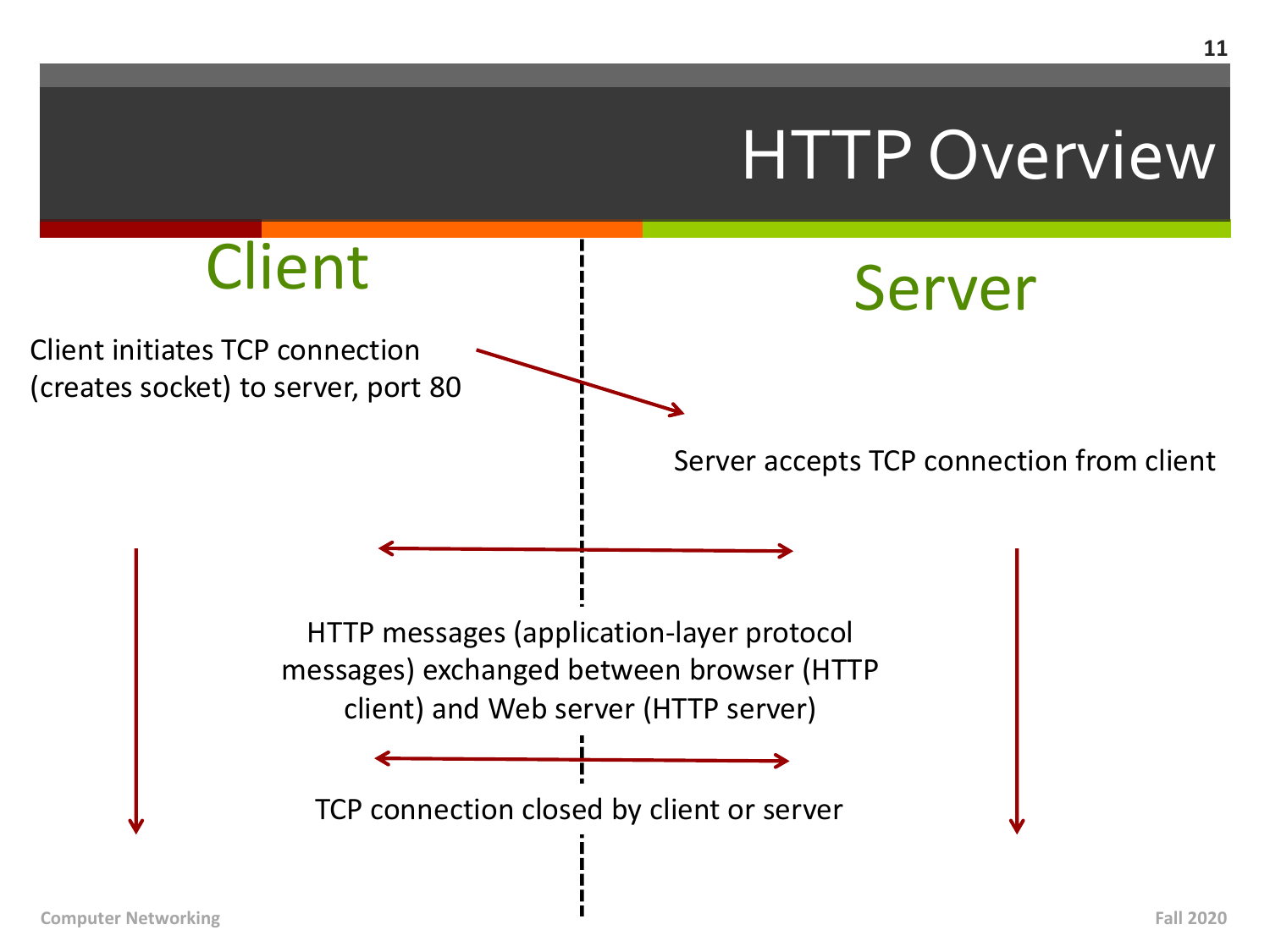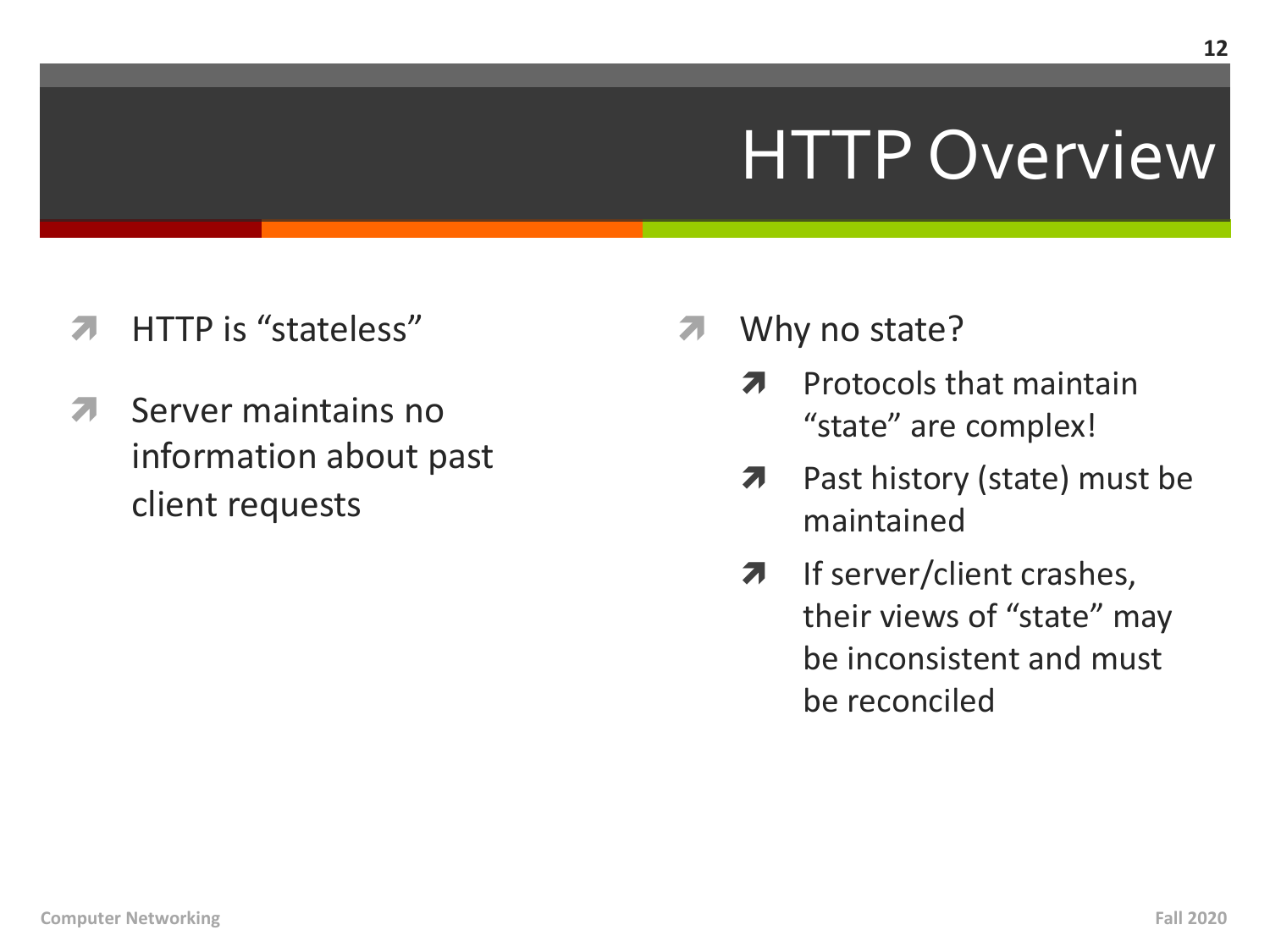### **HTTP Overview**

- HTTP is "stateless" 71
- Server maintains no 71 information about past client requests
- Why no state?
	- Protocols that maintain 7 "state" are complex!
	- Past history (state) must be 7 maintained
	- If server/client crashes, 7 their views of "state" may be inconsistent and must be reconciled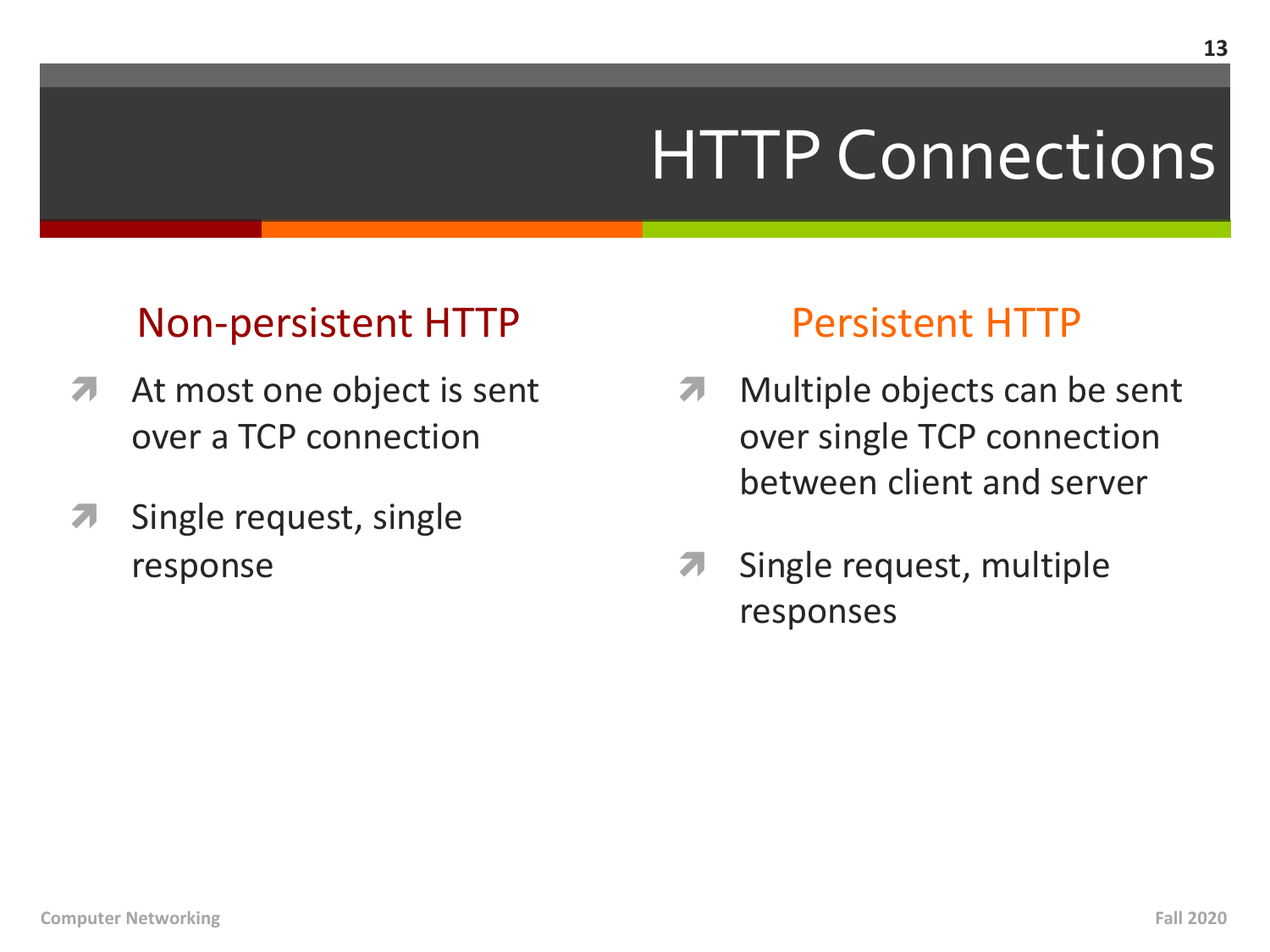# HTTP Connections

### Non-persistent HTTP

- *A* At most one object is sent over a TCP connection
- **7** Single request, single response

### Persistent HTTP

- **7** Multiple objects can be sent over single TCP connection between client and server
- **7** Single request, multiple responses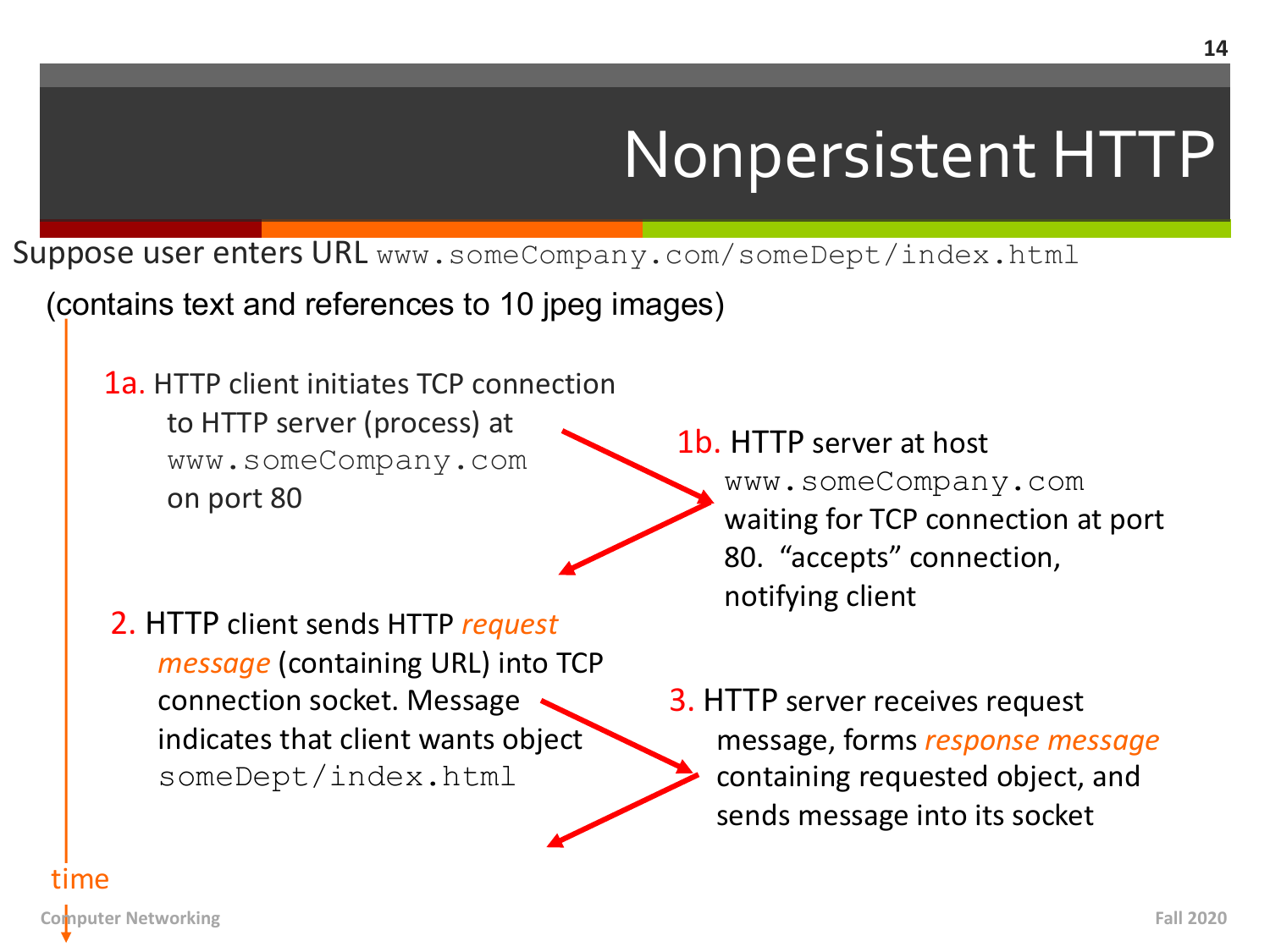# Nonpersistent HTTP

Suppose user enters URL www.someCompany.com/someDept/index.html

(contains text and references to 10 jpeg images)

1a. HTTP client initiates TCP connection to HTTP server (process) at www.someCompany.com on port 80

2. HTTP client sends HTTP *request message* (containing URL) into TCP connection socket. Message indicates that client wants object someDept/index.html

1b. HTTP server at host www.someCompany.com waiting for TCP connection at port 80. "accepts" connection, notifying client

3. HTTP server receives request message, forms *response message* containing requested object, and sends message into its socket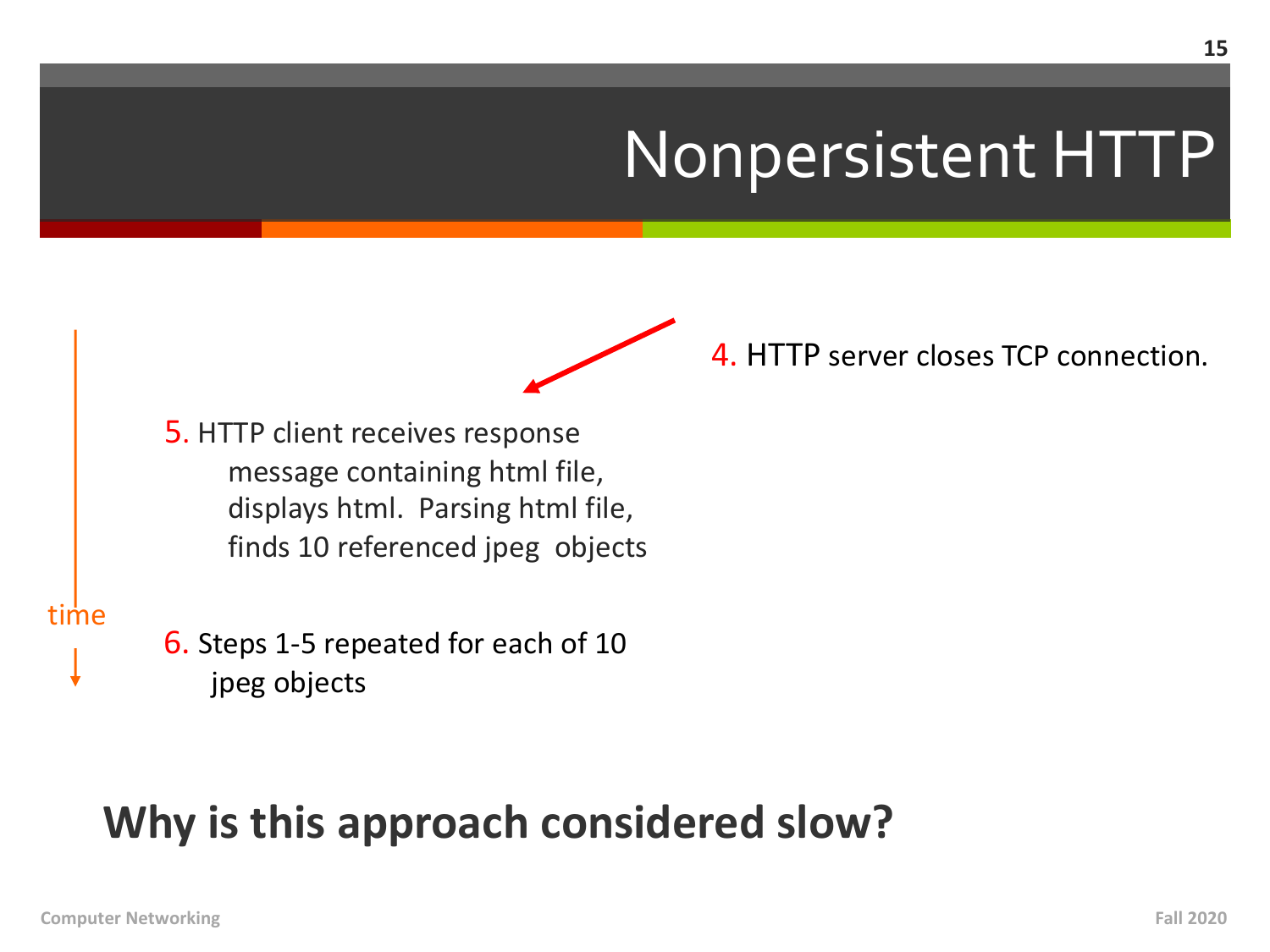### Nonpersistent HTTP



5. HTTP client receives response message containing html file, displays html. Parsing html file, finds 10 referenced jpeg objects

time

6. Steps 1-5 repeated for each of 10 jpeg objects

### **Why is this approach considered slow?**

4. HTTP server closes TCP connection.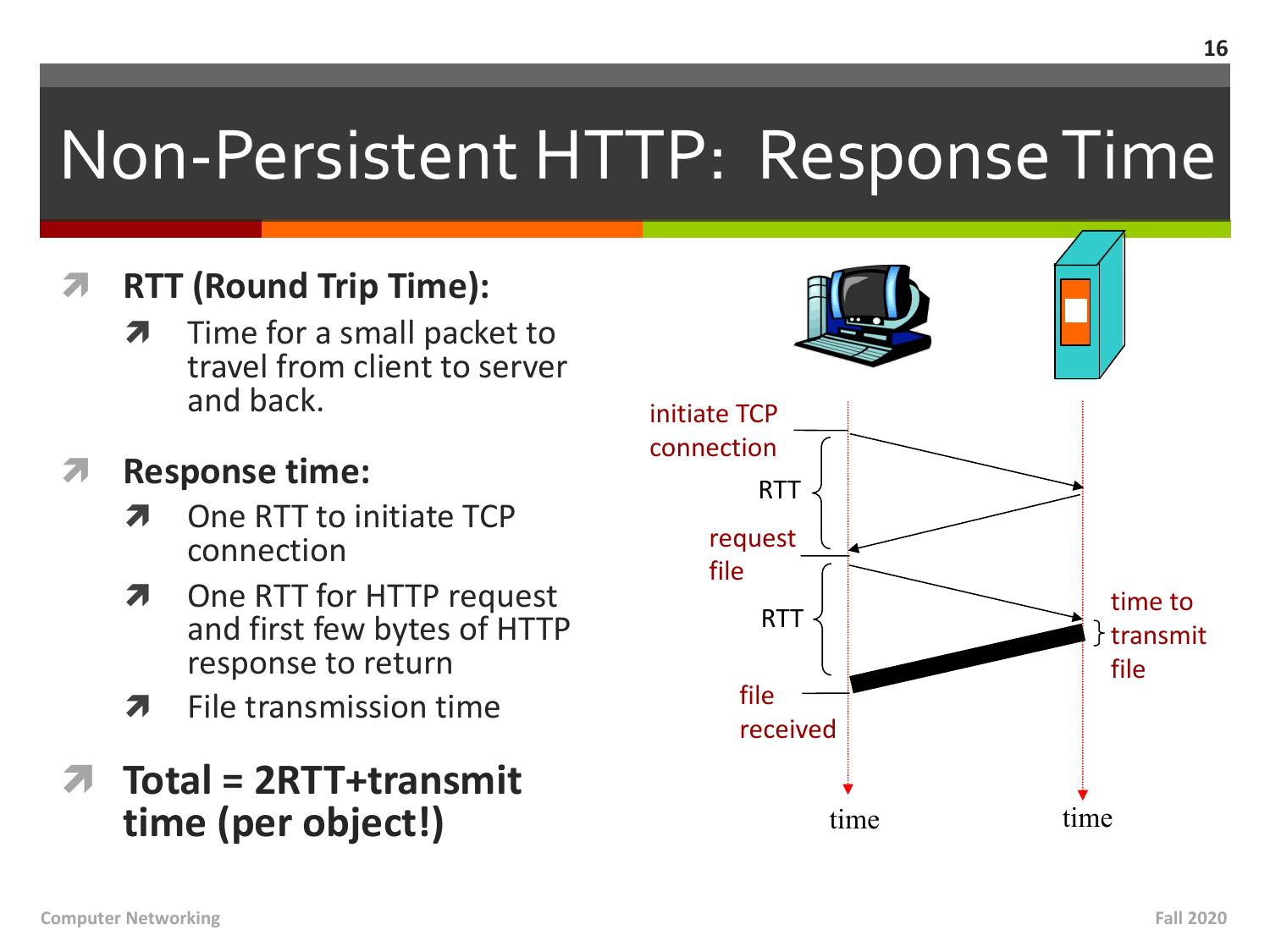# Non-Persistent HTTP: Response Time

#### **RTT (Round Trip Time):**  $\overline{\phantom{a}}$

Time for a small packet to 7 travel from client to server and back.

#### **Response time:** 7

- One RTT to initiate TCP 7 connection
- One RTT for HTTP request 7 and first few bytes of HTTP response to return
- File transmission time 7

### Total = 2RTT+transmit time (per object!)

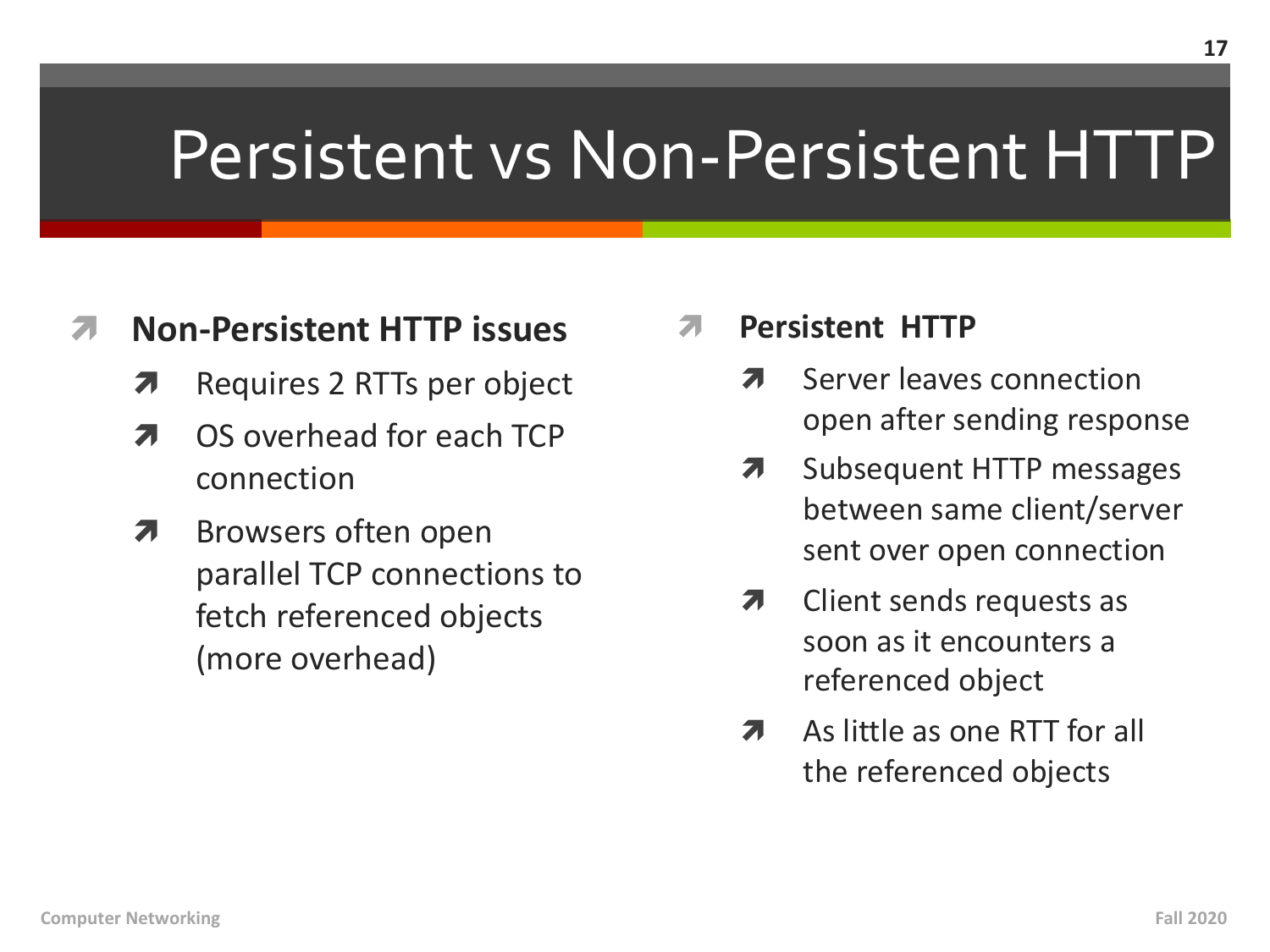### Persistent vs Non-Persistent HTTP

#### **Non-Persistent HTTP issues** 71

- Requires 2 RTTs per object  $\overline{\phantom{a}}$
- OS overhead for each TCP 7 connection
- Browsers often open  $\overline{\boldsymbol{\pi}}$ parallel TCP connections to fetch referenced objects (more overhead)
- **Persistent HTTP** 
	- Server leaves connection 71 open after sending response
	- Subsequent HTTP messages 7 between same client/server sent over open connection
	- Client sends requests as 7 soon as it encounters a referenced object
	- As little as one RTT for all 7 the referenced objects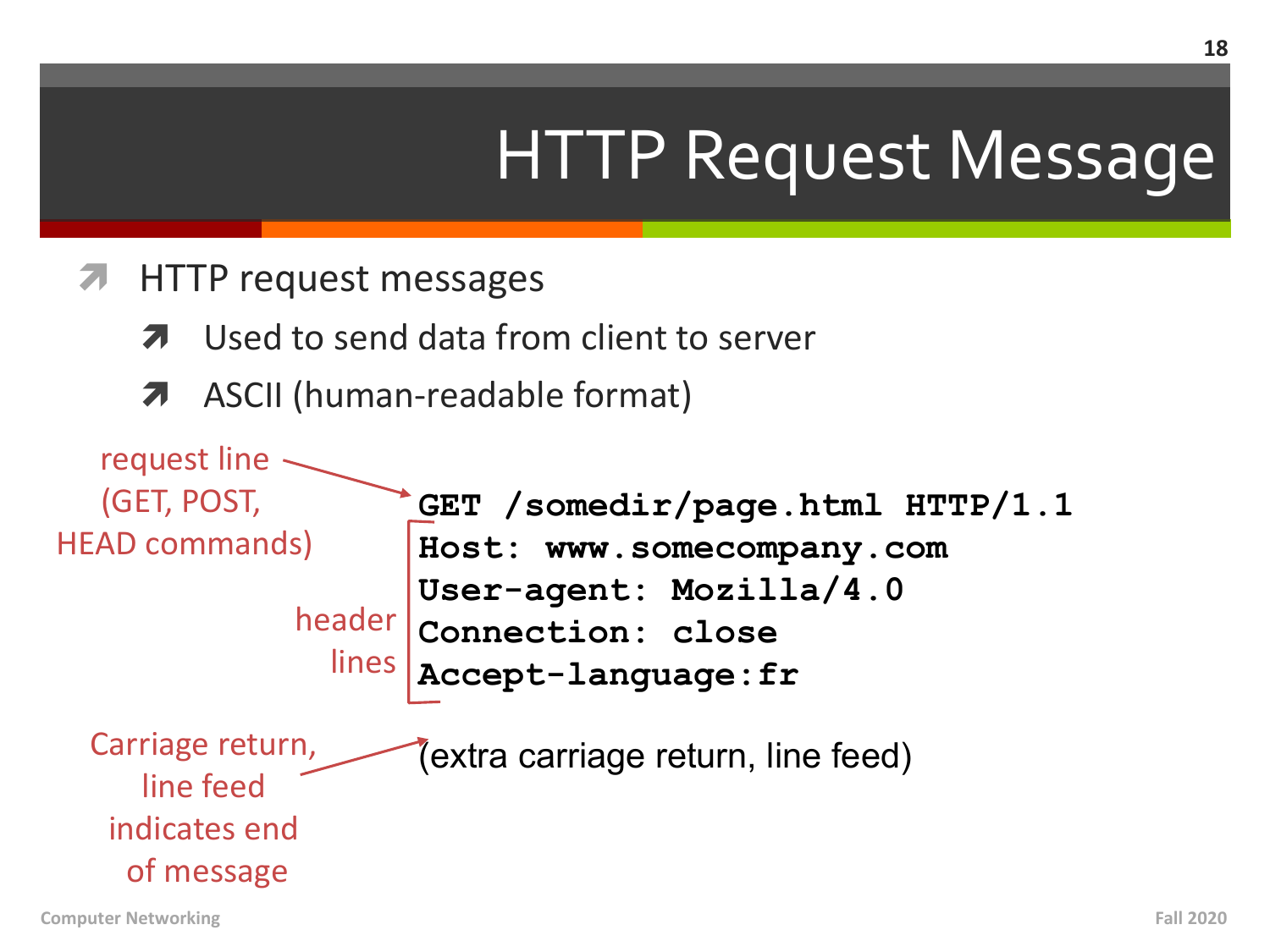# HTTP Request Message

- ì HTTP request messages
	- Used to send data from client to server
	- **7** ASCII (human-readable format)

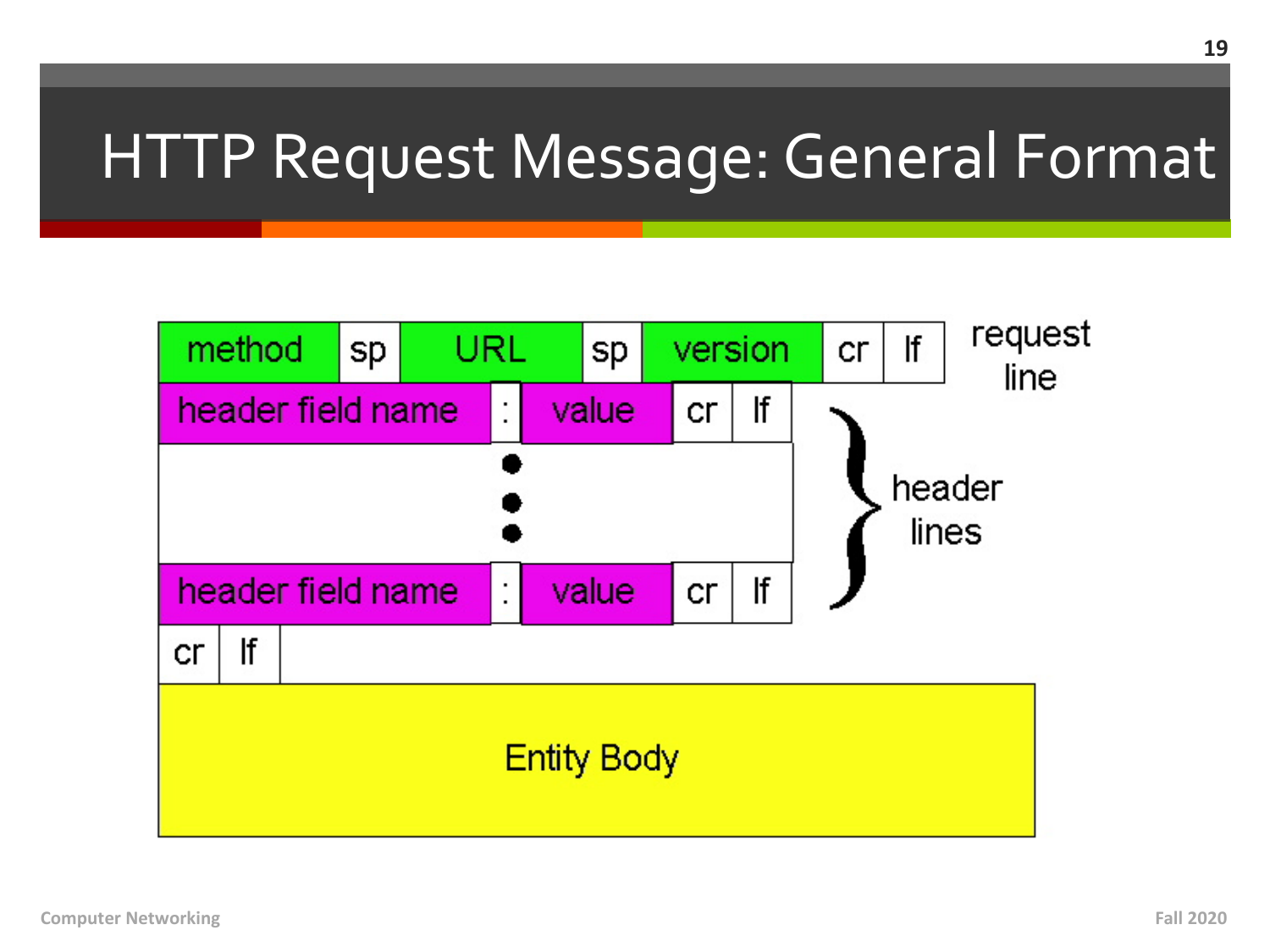### HTTP Request Message: General Format

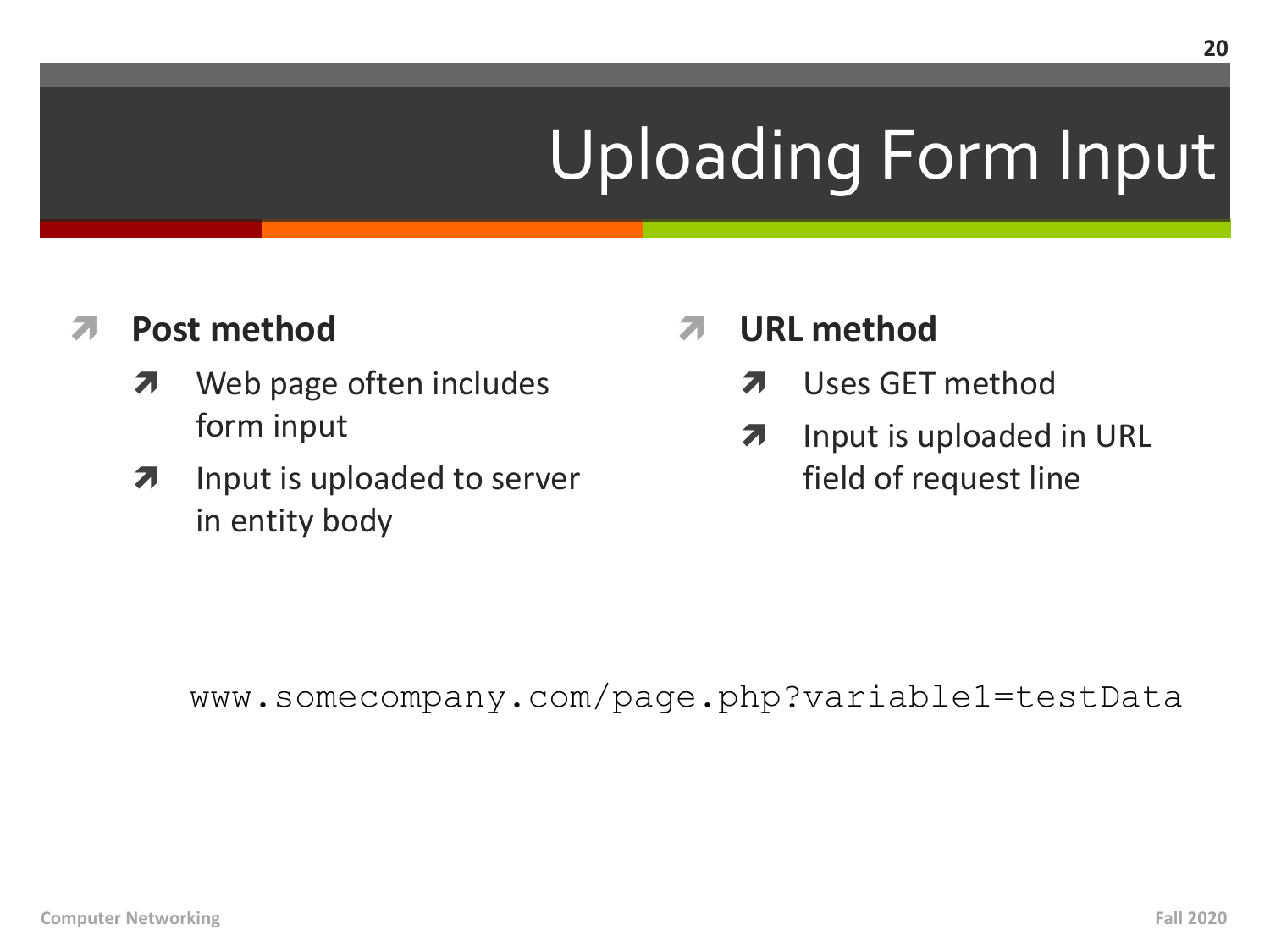# **Uploading Form Input**

#### **Post method** 71

- Web page often includes  $\boldsymbol{\mathcal{F}}$ form input
- Input is uploaded to server  $\overline{\boldsymbol{\pi}}$ in entity body
- **URL** method
	- Uses GET method 7
	- Input is uploaded in URL  $\overline{\boldsymbol{\lambda}}$ field of request line

www.somecompany.com/page.php?variable1=testData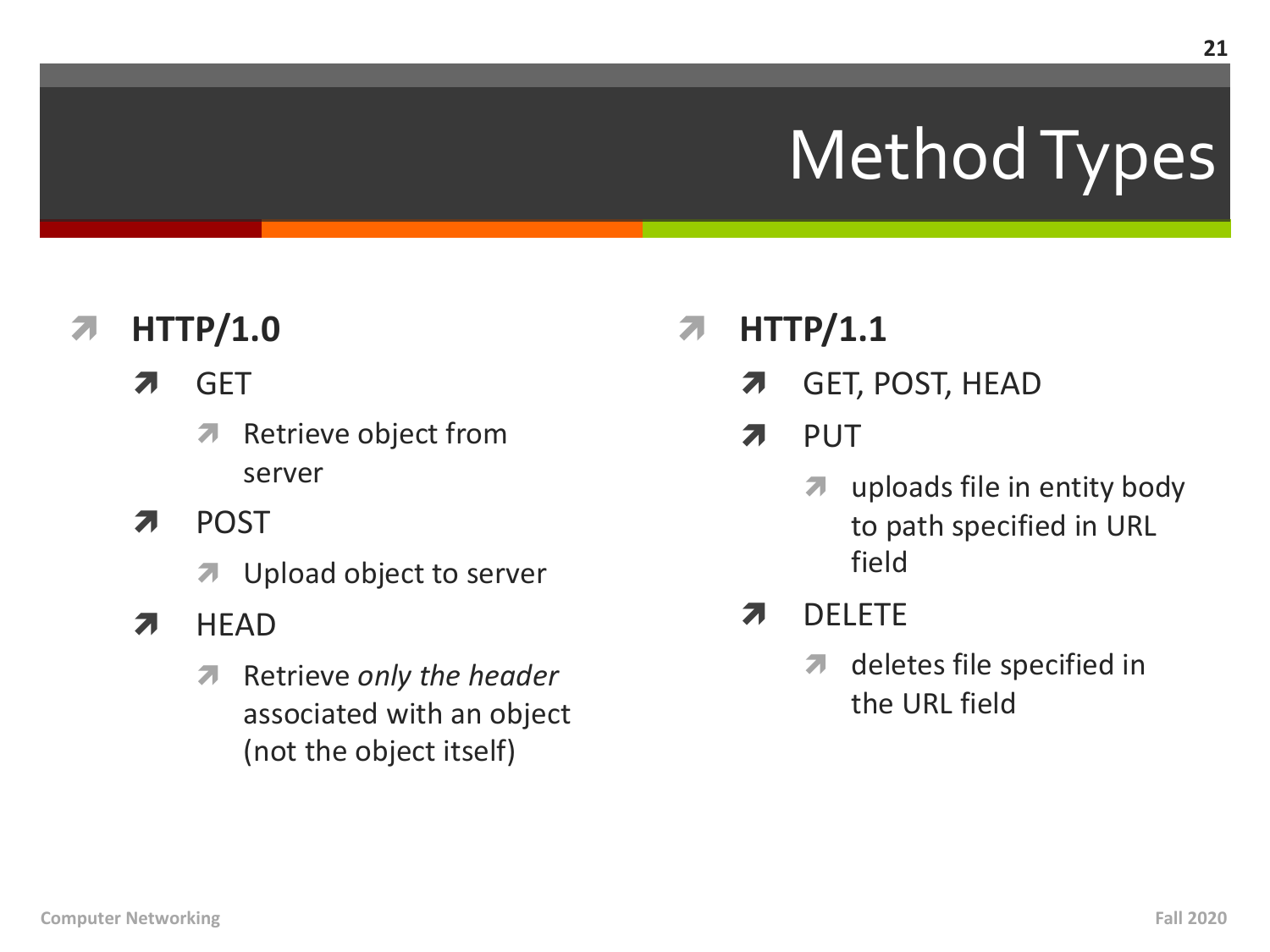# Method Types

#### **HTTP/1.0** 7

- **GET** 7
	- Retrieve object from 7 server
- **POST** Л.
	- Upload object to server  $\overline{\phantom{a}}$
- **HEAD** 7

**Computer Networking** 

Retrieve only the header  $\overline{\mathbf{v}}$ associated with an object (not the object itself)

- $HTTP/1.1$ 7
	- **GET, POST, HEAD**  $\overline{\phantom{a}}$
	- **PUT** 7
		- uploads file in entity body  $\overline{\mathbf{z}}$ to path specified in URL field
	- **DELETE** 7
		- deletes file specified in  $\overline{\phantom{a}}$ the URI field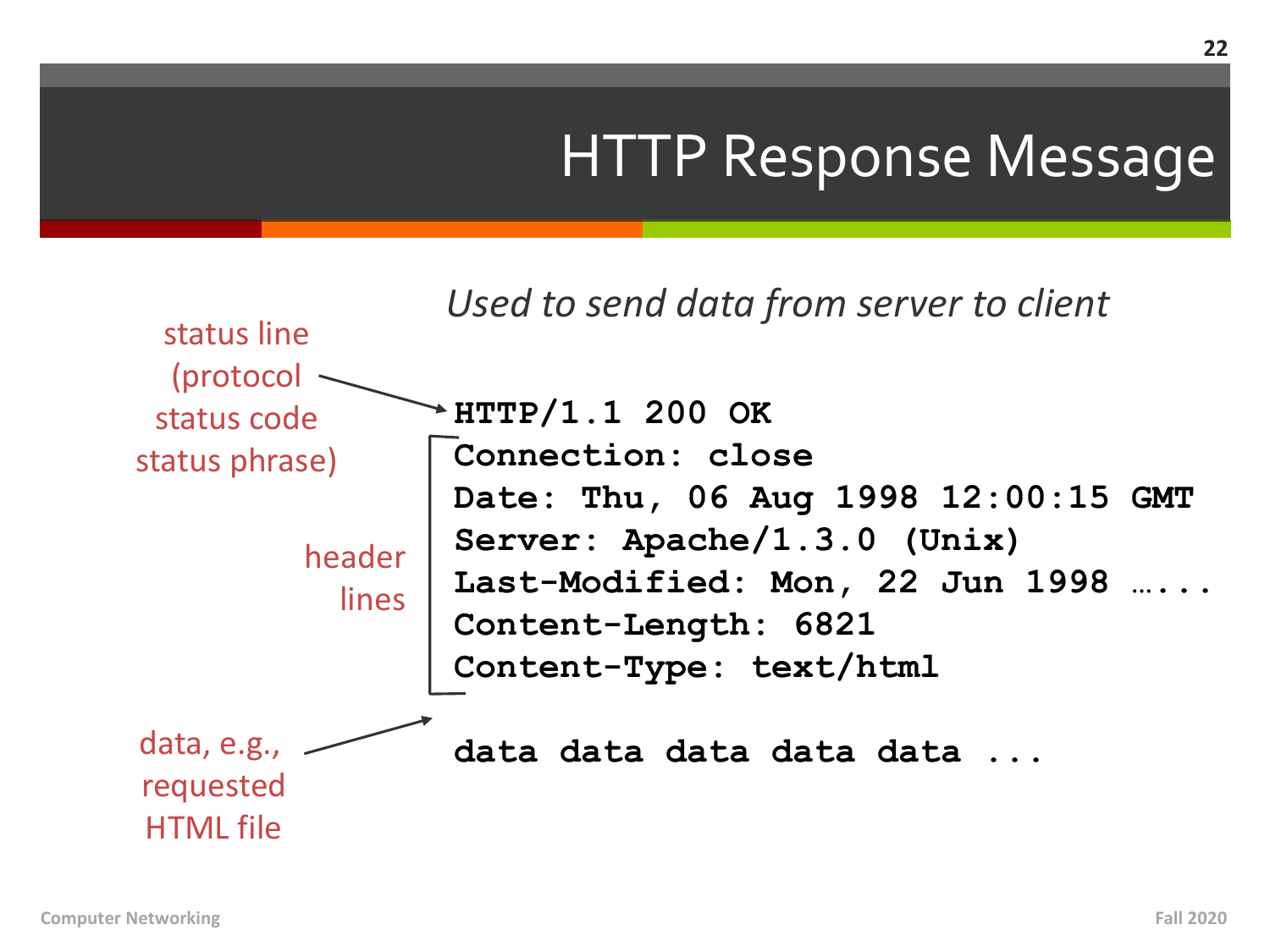### HTTP Response Message

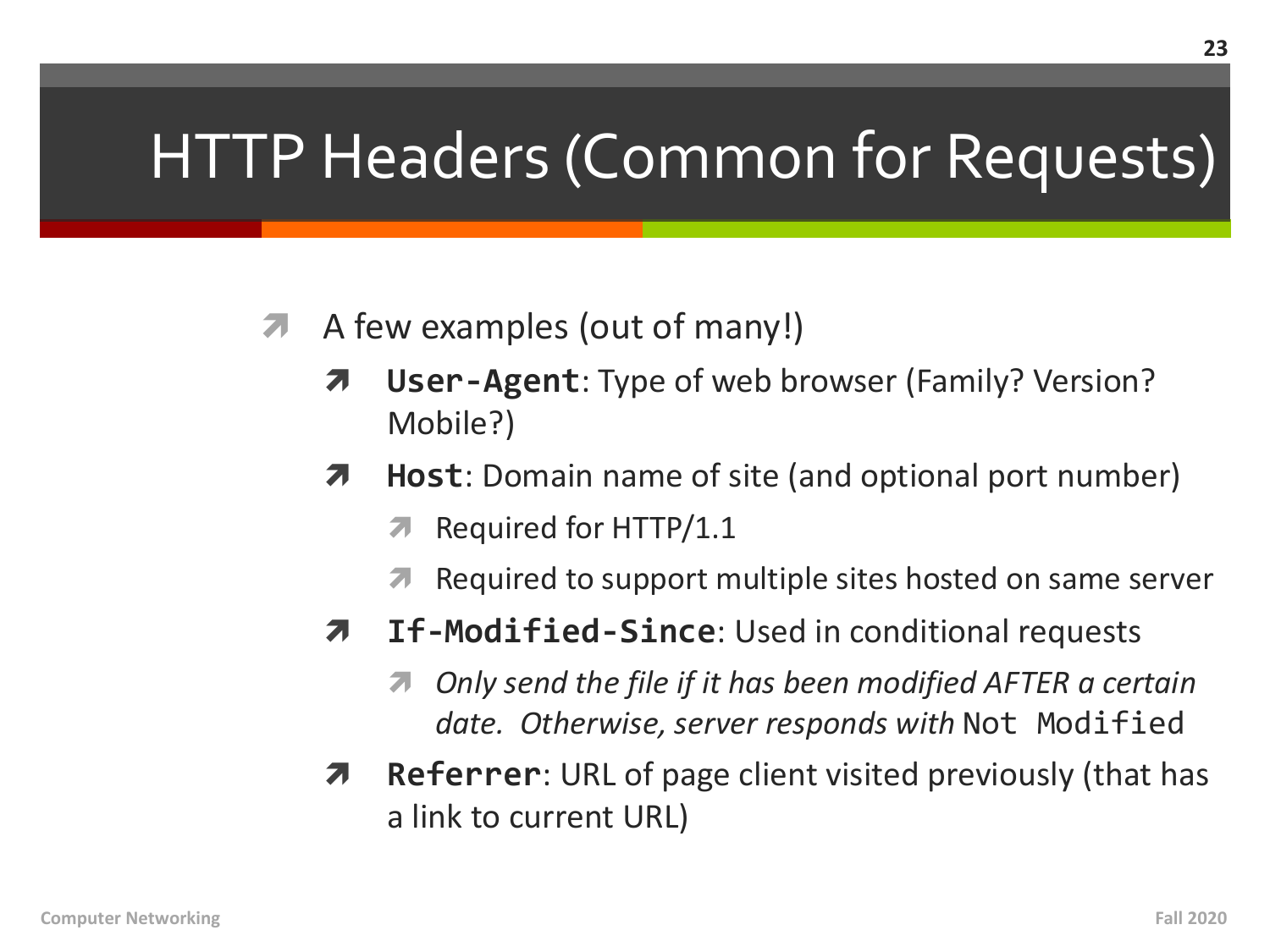### HTTP Headers (Common for Requests)

- A few examples (out of many!)  $\overline{\phantom{a}}$ 
	- **User-Agent:** Type of web browser (Family? Version? 7 Mobile?)
	- **Host:** Domain name of site (and optional port number) 7
		- Required for HTTP/1.1 7
		- Required to support multiple sites hosted on same server
	- If-Modified-Since: Used in conditional requests Я.
		- Only send the file if it has been modified AFTER a certain Л. date. Otherwise, server responds with Not Modified
	- **Referrer:** URL of page client visited previously (that has 7 a link to current URL)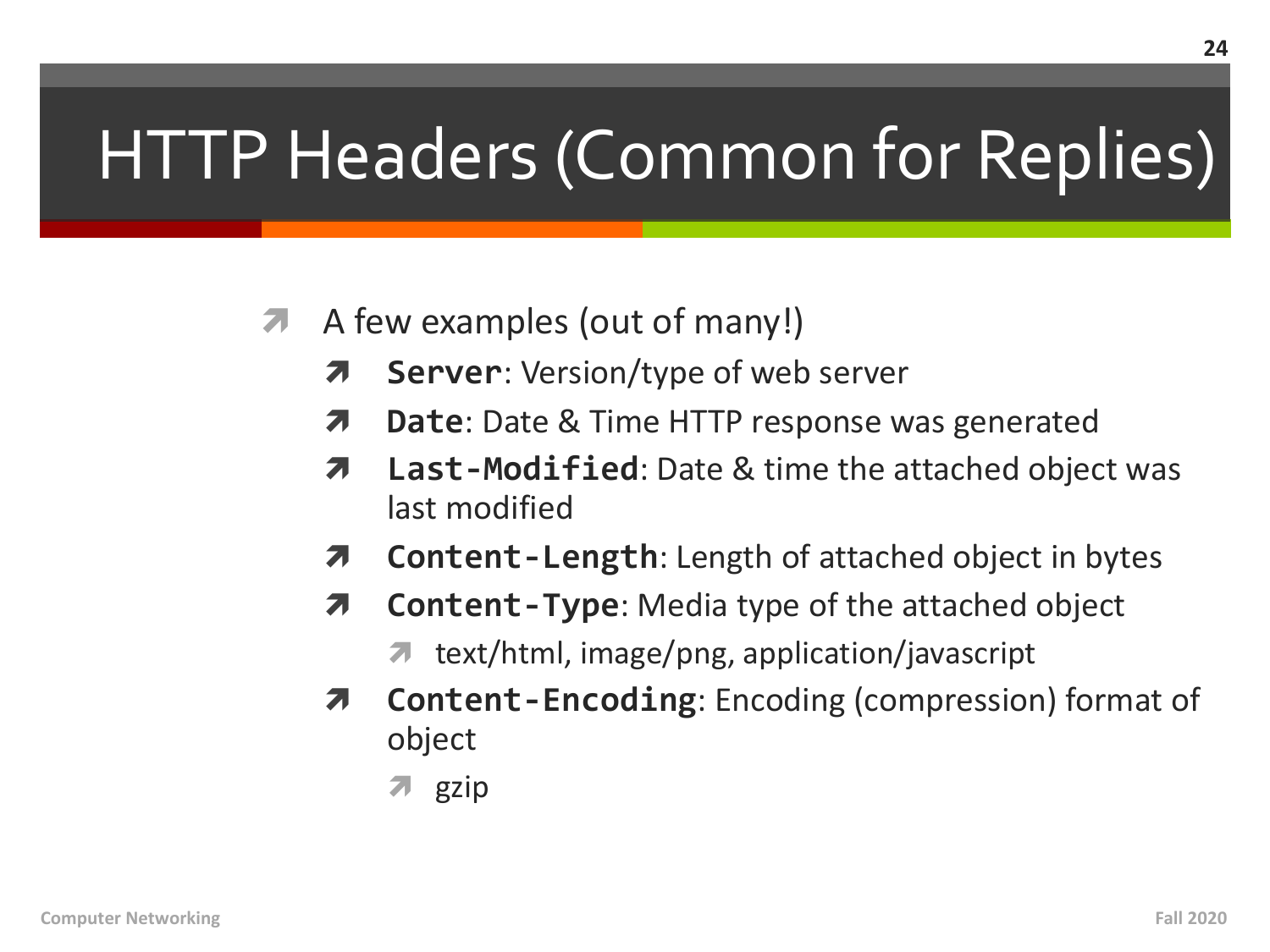# HTTP Headers (Common for Replies)

- A few examples (out of many!) 7
	- 7 **Server:** Version/type of web server
	- **Date:** Date & Time HTTP response was generated 7
	- Last-Modified: Date & time the attached object was 7 last modified
	- **Content-Length:** Length of attached object in bytes 7
	- **Content-Type:** Media type of the attached object Л.
		- **T** text/html, image/png, application/javascript
	- **Content-Encoding:** Encoding (compression) format of object
		- $\overline{z}$  gzip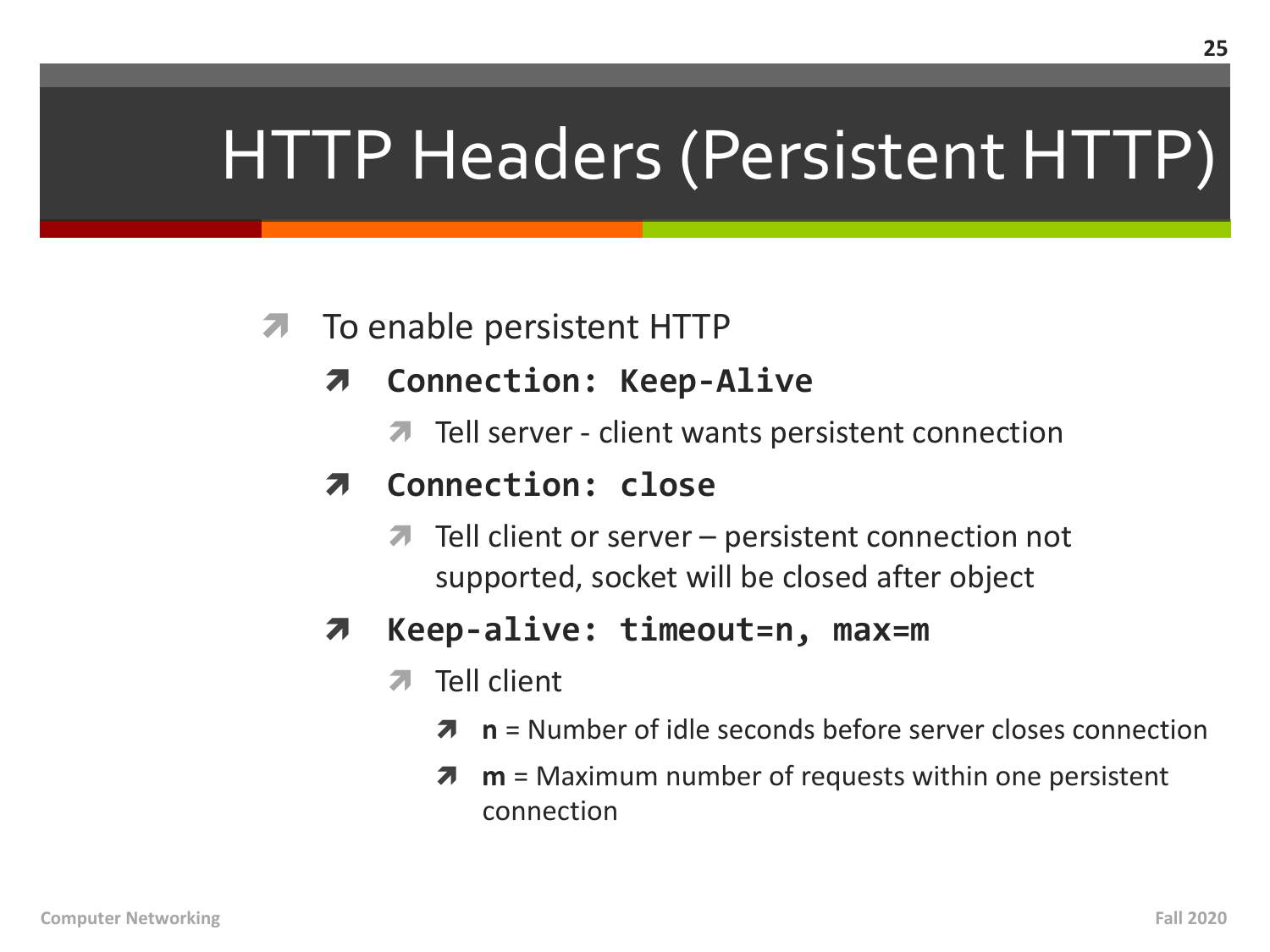# HTTP Headers (Persistent HTTP)

#### To enable persistent HTTP  $\overline{\phantom{a}}$

- **Connection: Keep-Alive** 7
	- Tell server client wants persistent connection

#### Connection: close 7

 $\blacksquare$  Tell client or server – persistent connection not supported, socket will be closed after object

#### Keep-alive: timeout=n, max=m 7

- Tell client  $\overline{\mathbf{z}}$ 
	- $n =$  Number of idle seconds before server closes connection 7
	- $m =$  Maximum number of requests within one persistent Л connection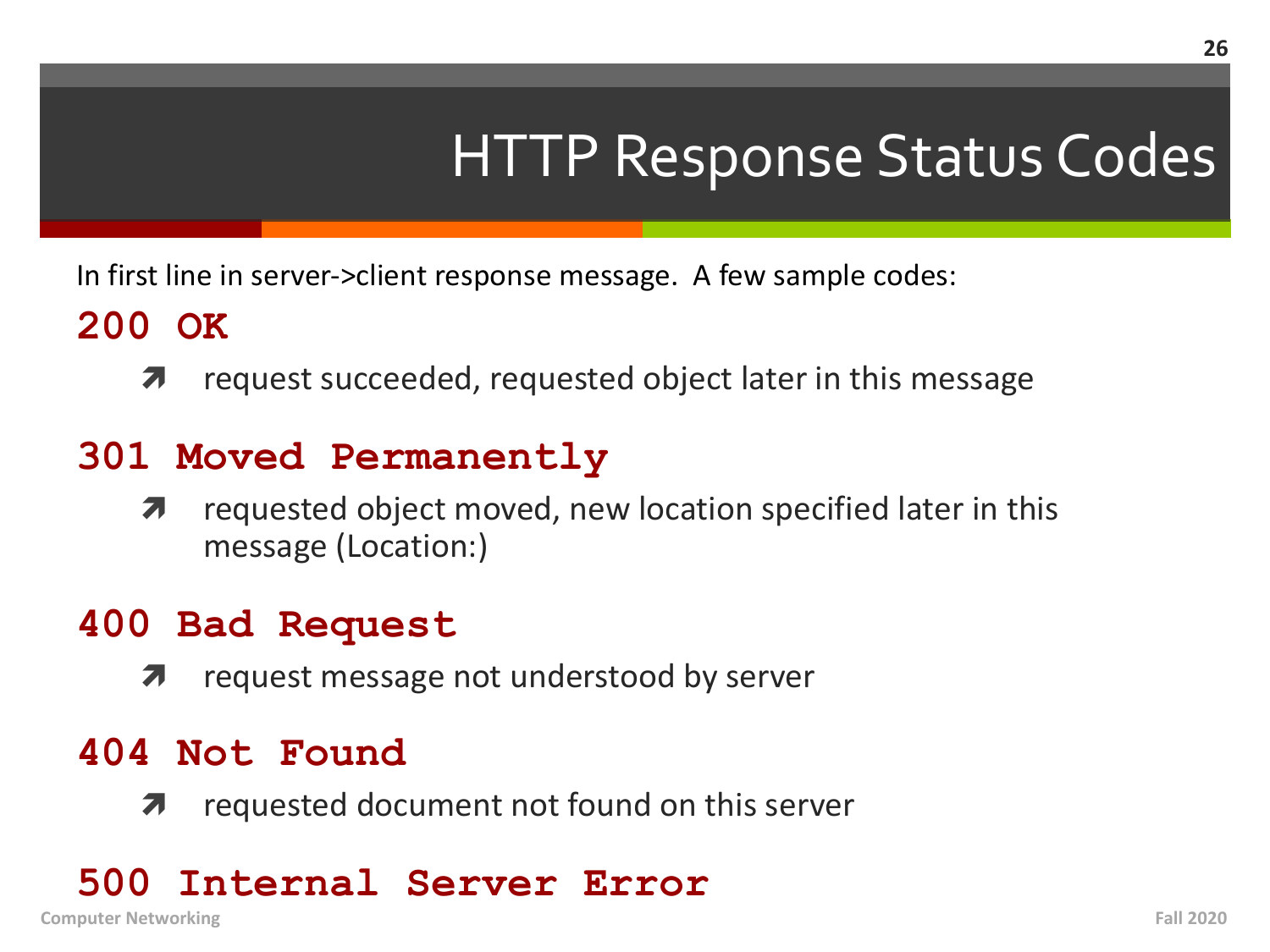### HTTP Response Status Codes

In first line in server->client response message. A few sample codes:

### **200 OK**

 $\lambda$  request succeeded, requested object later in this message

### **301 Moved Permanently**

 $\lambda$  requested object moved, new location specified later in this message (Location:)

### **400 Bad Request**

 $\lambda$  request message not understood by server

### **404 Not Found**

 $\lambda$  requested document not found on this server

### **500 Internal Server Error**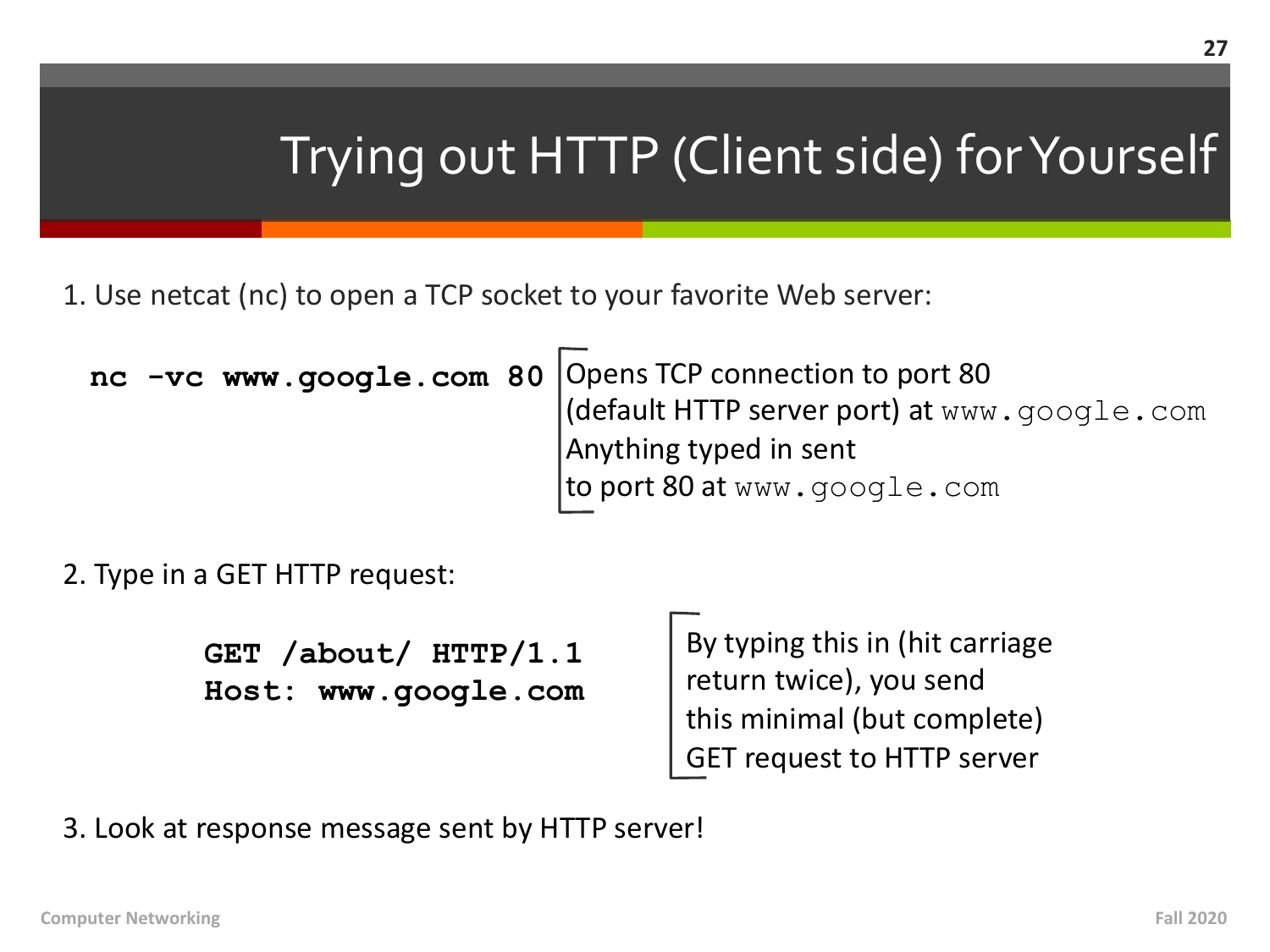### Trying out HTTP (Client side) for Yourself

1. Use netcat (nc) to open a TCP socket to your favorite Web server:

Opens TCP connection to port 80 (default HTTP server port) at www.google.com Anything typed in sent to port 80 at www.google.com **nc -vc www.google.com 80**

2. Type in a GET HTTP request:

**GET /about/ HTTP/1.1 Host: www.google.com** By typing this in (hit carriage return twice), you send this minimal (but complete) GET request to HTTP server

3. Look at response message sent by HTTP server!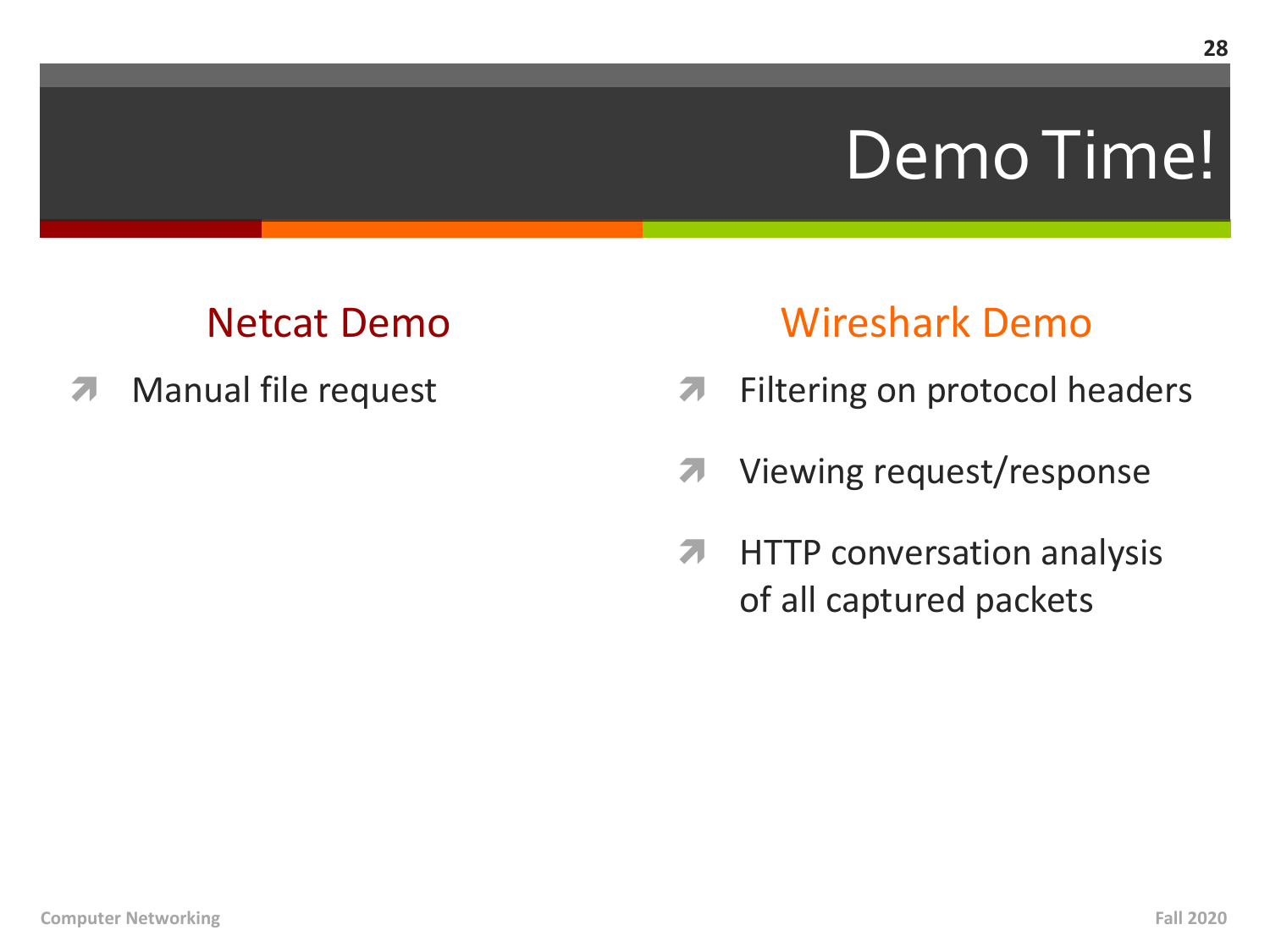# Demo Time!

### **Netcat Demo**

Manual file request 71

### **Wireshark Demo**

- Filtering on protocol headers  $\overline{\mathbf{z}}$
- Viewing request/response 7
- $\overline{\mathbf{z}}$ **HTTP** conversation analysis of all captured packets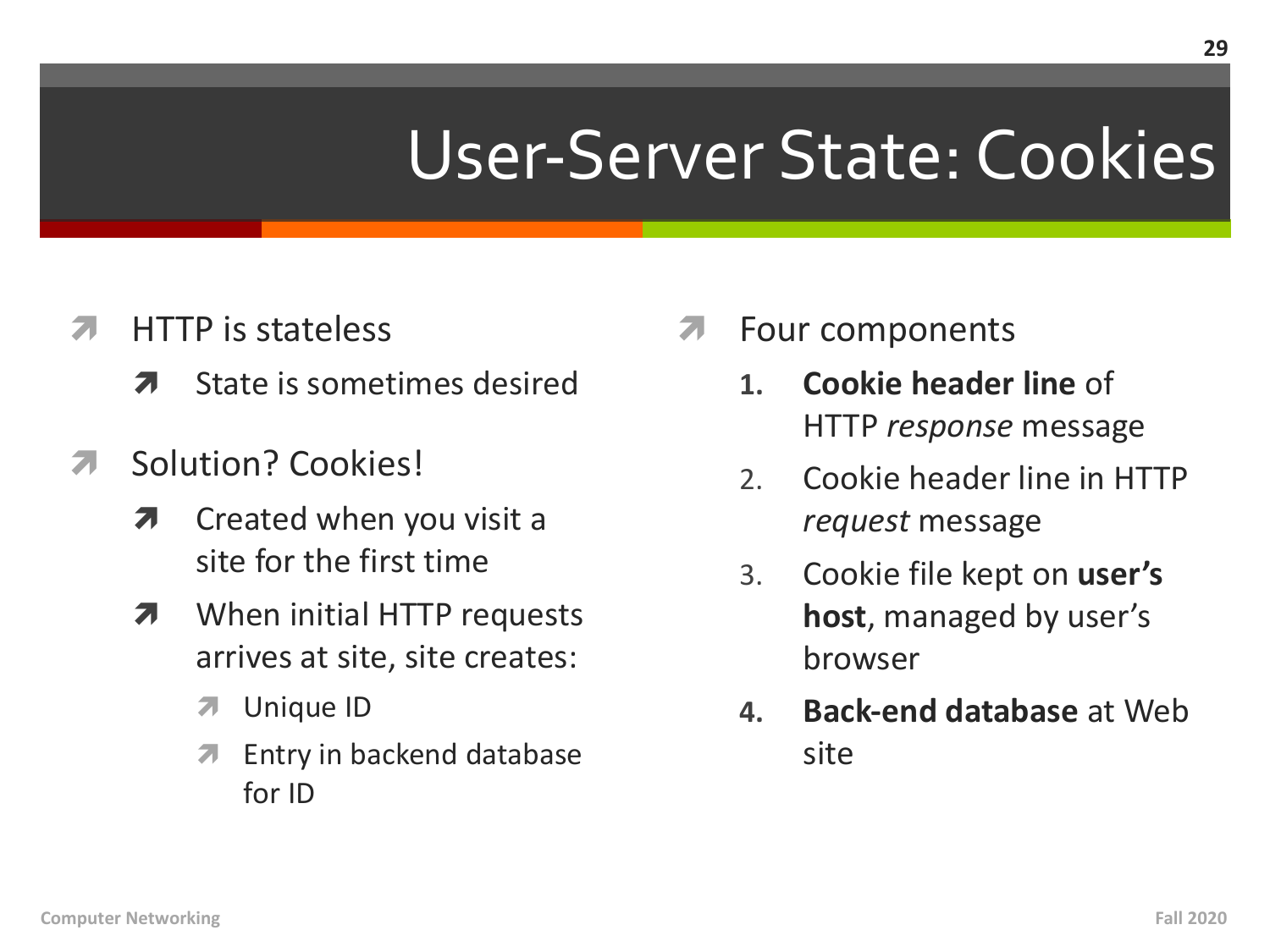# User-Server State: Cookies

- **HTTP** is stateless 71
	- State is sometimes desired 7
- Solution? Cookies! 71
	- Created when you visit a 7 site for the first time
	- When initial HTTP requests 7 arrives at site, site creates:
		- $\overline{\mathbf{v}}$ Unique ID
		- Entry in backend database 7 for ID
- Four components
	- Cookie header line of  $\mathbf{1}$ . HTTP response message
	- $2.$ Cookie header line in HTTP *request* message
	- Cookie file kept on **user's**  $3.$ **host**, managed by user's browser
	- **Back-end database at Web** 4. site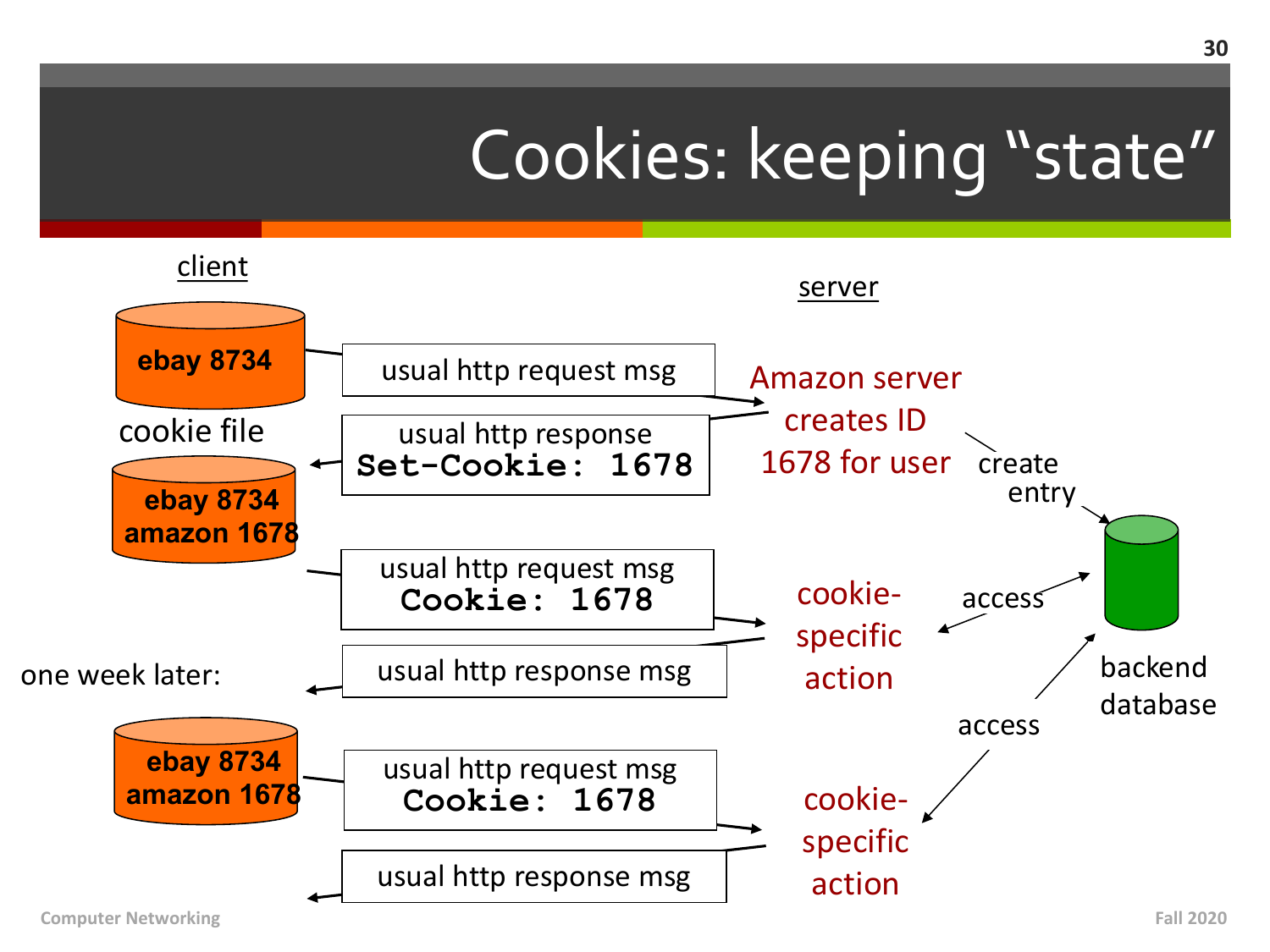# Cookies: keeping "state"

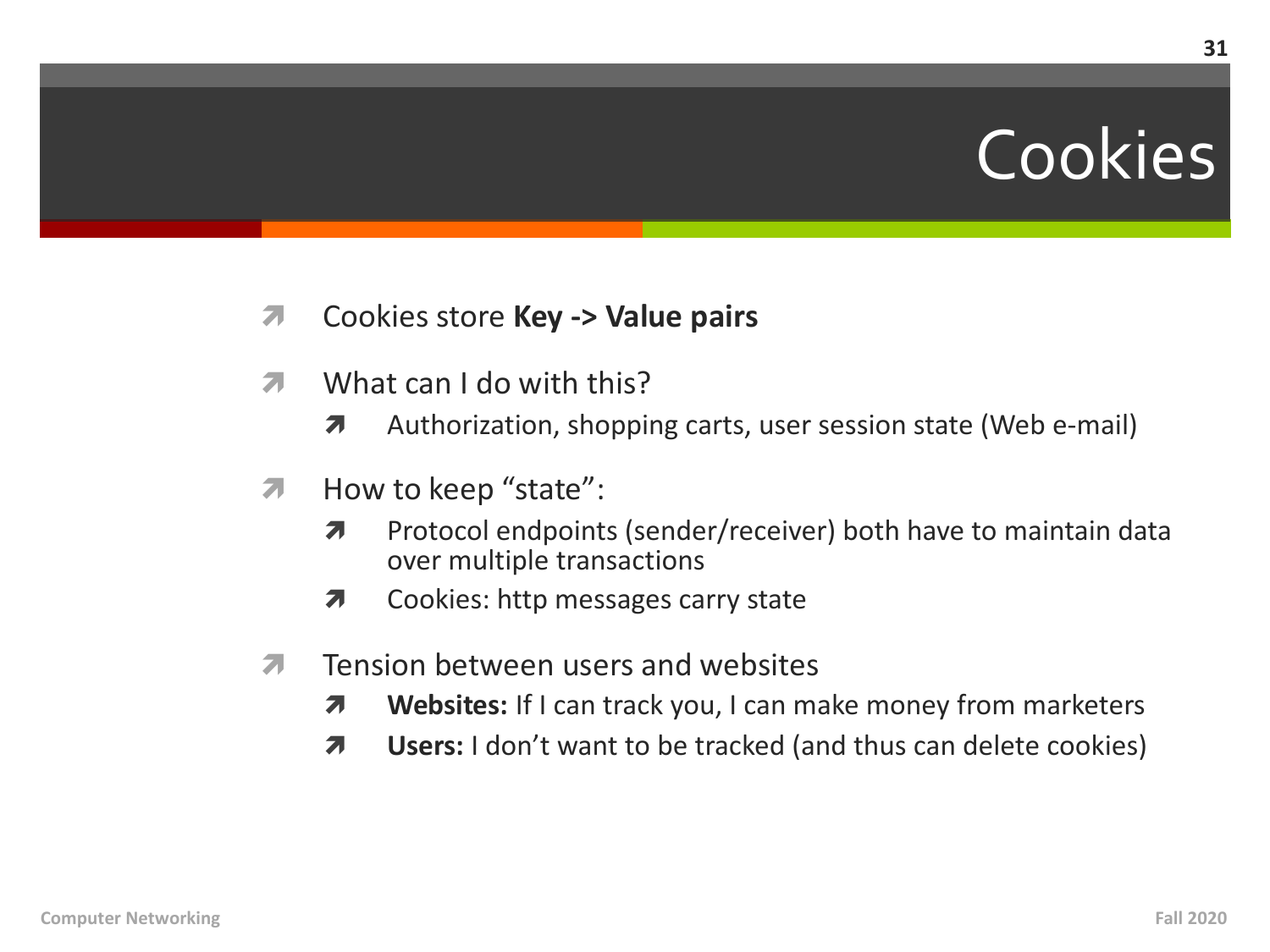# Cookies

31

- $\overline{\phantom{a}}$ Cookies store Key -> Value pairs
- What can I do with this?  $\overline{\phantom{a}}$ 
	- Authorization, shopping carts, user session state (Web e-mail) 7
- How to keep "state": Л.
	- Protocol endpoints (sender/receiver) both have to maintain data  $\overline{\phantom{a}}$ over multiple transactions
	- Cookies: http messages carry state  $\overline{\boldsymbol{\lambda}}$
- Tension between users and websites 7
	- Websites: If I can track you, I can make money from marketers 7
	- Users: I don't want to be tracked (and thus can delete cookies) 7